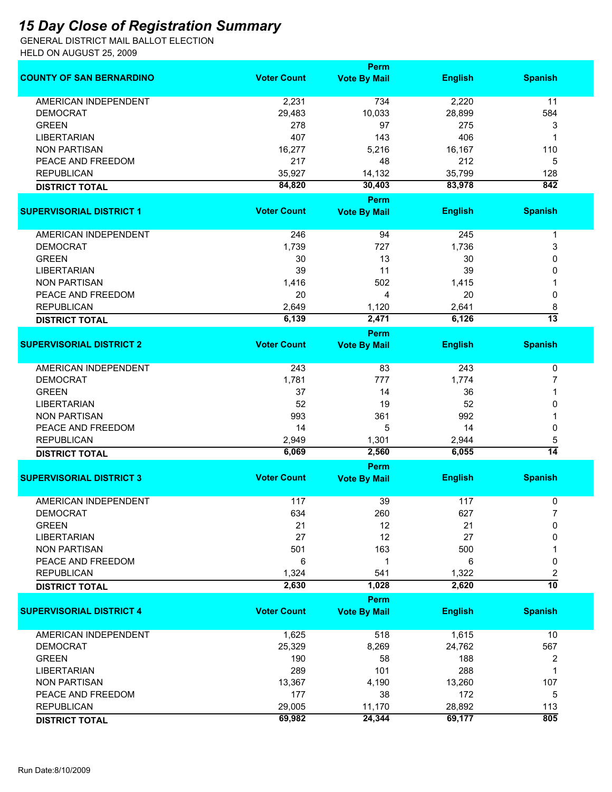## *15 Day Close of Registration Summary*

GENERAL DISTRICT MAIL BALLOT ELECTION HELD ON AUGUST 25, 2009

|                                 | Perm               |                     |                |                  |  |
|---------------------------------|--------------------|---------------------|----------------|------------------|--|
| <b>COUNTY OF SAN BERNARDINO</b> | <b>Voter Count</b> | <b>Vote By Mail</b> | <b>English</b> | <b>Spanish</b>   |  |
| <b>AMERICAN INDEPENDENT</b>     | 2,231              | 734                 | 2,220          | 11               |  |
| <b>DEMOCRAT</b>                 | 29,483             | 10,033              | 28,899         | 584              |  |
| <b>GREEN</b>                    | 278                | 97                  | 275            | 3                |  |
| <b>LIBERTARIAN</b>              | 407                | 143                 | 406            | -1               |  |
| <b>NON PARTISAN</b>             | 16,277             | 5,216               | 16,167         | 110              |  |
| PEACE AND FREEDOM               | 217                | 48                  | 212            | 5                |  |
| <b>REPUBLICAN</b>               | 35,927             | 14,132              | 35,799         | 128              |  |
|                                 | 84,820             | 30,403              | 83,978         | $\overline{842}$ |  |
| <b>DISTRICT TOTAL</b>           |                    | Perm                |                |                  |  |
| <b>SUPERVISORIAL DISTRICT 1</b> | <b>Voter Count</b> | <b>Vote By Mail</b> | <b>English</b> | <b>Spanish</b>   |  |
| <b>AMERICAN INDEPENDENT</b>     | 246                | 94                  | 245            | 1                |  |
| <b>DEMOCRAT</b>                 | 1,739              | 727                 | 1,736          | 3                |  |
| <b>GREEN</b>                    | 30                 | 13                  | 30             | 0                |  |
| <b>LIBERTARIAN</b>              | 39                 | 11                  | 39             | 0                |  |
| <b>NON PARTISAN</b>             | 1,416              | 502                 | 1,415          |                  |  |
| PEACE AND FREEDOM               | 20                 | 4                   | 20             | 0                |  |
| <b>REPUBLICAN</b>               | 2,649              | 1,120               | 2,641          | 8                |  |
| <b>DISTRICT TOTAL</b>           | 6,139              | 2,471               | 6,126          | $\overline{13}$  |  |
|                                 |                    | <b>Perm</b>         |                |                  |  |
| <b>SUPERVISORIAL DISTRICT 2</b> | <b>Voter Count</b> | <b>Vote By Mail</b> | <b>English</b> | <b>Spanish</b>   |  |
| <b>AMERICAN INDEPENDENT</b>     | 243                | 83                  | 243            | 0                |  |
| <b>DEMOCRAT</b>                 | 1,781              | 777                 | 1,774          | 7                |  |
| <b>GREEN</b>                    | 37                 | 14                  | 36             |                  |  |
| <b>LIBERTARIAN</b>              | 52                 | 19                  | 52             | 0                |  |
| <b>NON PARTISAN</b>             | 993                | 361                 | 992            |                  |  |
| PEACE AND FREEDOM               | 14                 | 5                   | 14             | 0                |  |
| <b>REPUBLICAN</b>               | 2,949              | 1,301               | 2,944          | 5                |  |
| <b>DISTRICT TOTAL</b>           | 6,069              | 2,560               | 6,055          | $\overline{14}$  |  |
|                                 |                    | <b>Perm</b>         |                |                  |  |
| <b>SUPERVISORIAL DISTRICT 3</b> | <b>Voter Count</b> | <b>Vote By Mail</b> | <b>English</b> | <b>Spanish</b>   |  |
| <b>AMERICAN INDEPENDENT</b>     | 117                | 39                  | 117            | 0                |  |
| <b>DEMOCRAT</b>                 | 634                | 260                 | 627            |                  |  |
| <b>GREEN</b>                    | 21                 | 12                  | 21             | 0                |  |
| <b>LIBERTARIAN</b>              | 27                 | 12                  | 27             | 0                |  |
| <b>NON PARTISAN</b>             | 501                | 163                 | 500            |                  |  |
| PEACE AND FREEDOM               | 6                  | 1                   | 6              | 0                |  |
| <b>REPUBLICAN</b>               | 1,324              | 541                 | 1,322          | 2                |  |
| <b>DISTRICT TOTAL</b>           | 2,630              | 1,028               | 2,620          | $\overline{10}$  |  |
|                                 |                    | <b>Perm</b>         |                |                  |  |
| <b>SUPERVISORIAL DISTRICT 4</b> | <b>Voter Count</b> | <b>Vote By Mail</b> | <b>English</b> | <b>Spanish</b>   |  |
| <b>AMERICAN INDEPENDENT</b>     | 1,625              | 518                 | 1,615          | 10               |  |
| <b>DEMOCRAT</b>                 | 25,329             | 8,269               | 24,762         | 567              |  |
| <b>GREEN</b>                    | 190                | 58                  | 188            | 2                |  |
| <b>LIBERTARIAN</b>              | 289                | 101                 | 288            | 1                |  |
| <b>NON PARTISAN</b>             | 13,367             | 4,190               | 13,260         | 107              |  |
| PEACE AND FREEDOM               | 177                | 38                  | 172            | 5                |  |
| <b>REPUBLICAN</b>               | 29,005             | 11,170              | 28,892         | 113              |  |
| <b>DISTRICT TOTAL</b>           | 69,982             | 24,344              | 69,177         | 805              |  |
|                                 |                    |                     |                |                  |  |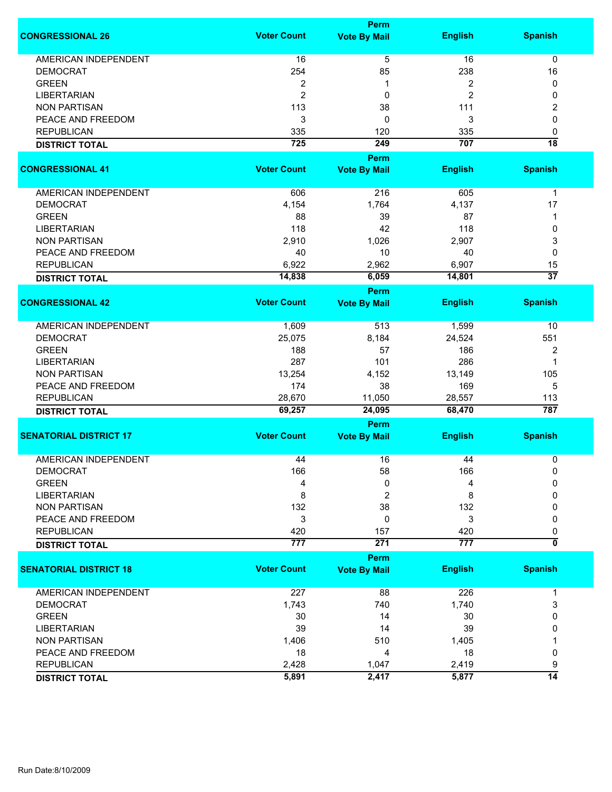|                               |                    | Perm                |                |                           |
|-------------------------------|--------------------|---------------------|----------------|---------------------------|
| <b>CONGRESSIONAL 26</b>       | <b>Voter Count</b> | <b>Vote By Mail</b> | <b>English</b> | <b>Spanish</b>            |
| <b>AMERICAN INDEPENDENT</b>   | 16                 | $\overline{5}$      | 16             | $\pmb{0}$                 |
| <b>DEMOCRAT</b>               | 254                | 85                  | 238            | 16                        |
| <b>GREEN</b>                  | 2                  | 1                   | 2              | 0                         |
| <b>LIBERTARIAN</b>            | $\overline{c}$     | 0                   | $\overline{c}$ | 0                         |
|                               |                    |                     |                |                           |
| <b>NON PARTISAN</b>           | 113                | 38                  | 111            | 2                         |
| PEACE AND FREEDOM             | 3                  | 0                   | 3              | 0                         |
| <b>REPUBLICAN</b>             | 335                | 120                 | 335            | 0                         |
| <b>DISTRICT TOTAL</b>         | 725                | 249                 | 707            | $\overline{18}$           |
|                               |                    | Perm                |                |                           |
| <b>CONGRESSIONAL 41</b>       | <b>Voter Count</b> | <b>Vote By Mail</b> | <b>English</b> | <b>Spanish</b>            |
| AMERICAN INDEPENDENT          | 606                | 216                 | 605            | $\mathbf{1}$              |
| <b>DEMOCRAT</b>               | 4,154              | 1,764               | 4,137          | 17                        |
| <b>GREEN</b>                  | 88                 | 39                  | 87             | 1                         |
| <b>LIBERTARIAN</b>            | 118                | 42                  | 118            | 0                         |
| <b>NON PARTISAN</b>           | 2,910              | 1,026               | 2,907          | 3                         |
| PEACE AND FREEDOM             | 40                 | 10                  | 40             | 0                         |
|                               |                    |                     |                |                           |
| <b>REPUBLICAN</b>             | 6,922              | 2,962               | 6,907          | 15                        |
| <b>DISTRICT TOTAL</b>         | 14,838             | 6,059               | 14,801         | $\overline{37}$           |
|                               |                    | Perm                |                |                           |
| <b>CONGRESSIONAL 42</b>       | <b>Voter Count</b> | <b>Vote By Mail</b> | <b>English</b> | <b>Spanish</b>            |
| <b>AMERICAN INDEPENDENT</b>   | 1,609              | 513                 | 1,599          | 10                        |
| <b>DEMOCRAT</b>               | 25,075             | 8,184               | 24,524         | 551                       |
| <b>GREEN</b>                  | 188                | 57                  | 186            | $\overline{2}$            |
| <b>LIBERTARIAN</b>            | 287                | 101                 | 286            | 1                         |
| <b>NON PARTISAN</b>           | 13,254             | 4,152               | 13,149         | 105                       |
| PEACE AND FREEDOM             | 174                | 38                  | 169            | 5                         |
| <b>REPUBLICAN</b>             | 28,670             | 11,050              | 28,557         |                           |
| <b>DISTRICT TOTAL</b>         | 69,257             | 24,095              | 68,470         | 113<br>787                |
|                               |                    | Perm                |                |                           |
| <b>SENATORIAL DISTRICT 17</b> | <b>Voter Count</b> | <b>Vote By Mail</b> | <b>English</b> | <b>Spanish</b>            |
|                               |                    |                     |                |                           |
| <b>AMERICAN INDEPENDENT</b>   | 44                 | 16                  | 44             | 0                         |
| <b>DEMOCRAT</b>               | 166                | 58                  | 166            | 0                         |
| <b>GREEN</b>                  | 4                  | 0                   | 4              | 0                         |
| <b>LIBERTARIAN</b>            | 8                  | 2                   | 8              | 0                         |
| <b>NON PARTISAN</b>           | 132                | 38                  | 132            | 0                         |
| PEACE AND FREEDOM             | 3                  | 0                   | 3              | 0                         |
| <b>REPUBLICAN</b>             | 420                | 157                 | 420            | 0                         |
| <b>DISTRICT TOTAL</b>         | 777                | 271                 | 777            | $\overline{\mathfrak{o}}$ |
|                               |                    | Perm                |                |                           |
| <b>SENATORIAL DISTRICT 18</b> | <b>Voter Count</b> | <b>Vote By Mail</b> | <b>English</b> | <b>Spanish</b>            |
| AMERICAN INDEPENDENT          | 227                | 88                  | 226            | 1                         |
| <b>DEMOCRAT</b>               | 1,743              | 740                 | 1,740          | 3                         |
| <b>GREEN</b>                  | 30                 | 14                  | 30             | 0                         |
| <b>LIBERTARIAN</b>            | 39                 | 14                  | 39             | 0                         |
| <b>NON PARTISAN</b>           | 1,406              | 510                 | 1,405          |                           |
| PEACE AND FREEDOM             | 18                 | 4                   | 18             | 0                         |
| <b>REPUBLICAN</b>             | 2,428              |                     | 2,419          |                           |
|                               |                    | 1,047               |                | 9<br>14                   |
| <b>DISTRICT TOTAL</b>         | 5,891              | 2,417               | 5,877          |                           |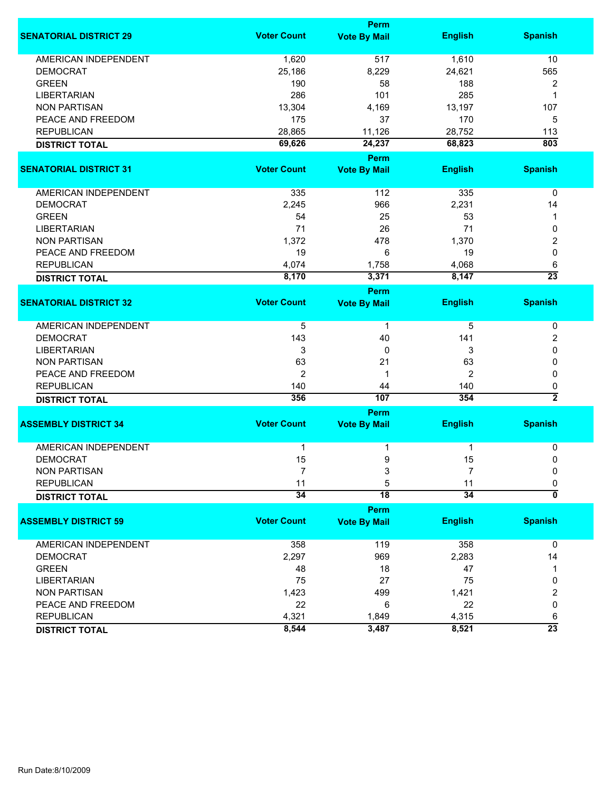|                               |                    | Perm                |                |                           |
|-------------------------------|--------------------|---------------------|----------------|---------------------------|
| <b>SENATORIAL DISTRICT 29</b> | <b>Voter Count</b> | <b>Vote By Mail</b> | <b>English</b> | <b>Spanish</b>            |
| <b>AMERICAN INDEPENDENT</b>   | 1,620              | 517                 | 1,610          | 10                        |
| <b>DEMOCRAT</b>               | 25,186             | 8,229               | 24,621         | 565                       |
| <b>GREEN</b>                  | 190                | 58                  | 188            | 2                         |
| <b>LIBERTARIAN</b>            | 286                | 101                 | 285            | 1                         |
| <b>NON PARTISAN</b>           | 13,304             | 4,169               | 13,197         | 107                       |
|                               |                    |                     |                |                           |
| PEACE AND FREEDOM             | 175                | 37                  | 170            | 5                         |
| <b>REPUBLICAN</b>             | 28,865             | 11,126              | 28,752         | 113                       |
| <b>DISTRICT TOTAL</b>         | 69,626             | 24,237              | 68,823         | 803                       |
|                               |                    | <b>Perm</b>         |                |                           |
| <b>SENATORIAL DISTRICT 31</b> | <b>Voter Count</b> | <b>Vote By Mail</b> | <b>English</b> | <b>Spanish</b>            |
| AMERICAN INDEPENDENT          | 335                | $\frac{112}{2}$     | 335            | 0                         |
| <b>DEMOCRAT</b>               | 2,245              | 966                 | 2,231          | 14                        |
| <b>GREEN</b>                  | 54                 | 25                  | 53             | 1                         |
| <b>LIBERTARIAN</b>            | 71                 | 26                  | 71             | 0                         |
| <b>NON PARTISAN</b>           | 1,372              | 478                 | 1,370          | 2                         |
| PEACE AND FREEDOM             | 19                 | 6                   | 19             | 0                         |
|                               |                    |                     |                |                           |
| <b>REPUBLICAN</b>             | 4,074              | 1,758               | 4,068          | 6                         |
| <b>DISTRICT TOTAL</b>         | 8,170              | 3,371               | 8,147          | $\overline{23}$           |
|                               |                    | Perm                |                |                           |
| <b>SENATORIAL DISTRICT 32</b> | <b>Voter Count</b> | <b>Vote By Mail</b> | <b>English</b> | <b>Spanish</b>            |
| <b>AMERICAN INDEPENDENT</b>   | 5                  | 1                   | 5              | 0                         |
| <b>DEMOCRAT</b>               | 143                | 40                  | 141            | 2                         |
| LIBERTARIAN                   | 3                  | 0                   | 3              | 0                         |
| <b>NON PARTISAN</b>           | 63                 | 21                  | 63             | 0                         |
| PEACE AND FREEDOM             | 2                  | 1                   | 2              | 0                         |
| <b>REPUBLICAN</b>             | 140                | 44                  | 140            | 0                         |
|                               | 356                | 107                 | 354            | $\overline{2}$            |
| <b>DISTRICT TOTAL</b>         |                    |                     |                |                           |
|                               |                    | Perm                |                |                           |
| <b>ASSEMBLY DISTRICT 34</b>   | <b>Voter Count</b> | <b>Vote By Mail</b> | <b>English</b> | <b>Spanish</b>            |
| <b>AMERICAN INDEPENDENT</b>   | 1                  |                     | 1              | 0                         |
| <b>DEMOCRAT</b>               | 15                 | 9                   | 15             | 0                         |
| <b>NON PARTISAN</b>           |                    | 3                   |                | 0                         |
| <b>REPUBLICAN</b>             | 11                 | 5                   | 11             | 0                         |
| <b>DISTRICT TOTAL</b>         | $\overline{34}$    | $\overline{18}$     | 34             | $\overline{\mathfrak{o}}$ |
|                               |                    | <b>Perm</b>         |                |                           |
| <b>ASSEMBLY DISTRICT 59</b>   | <b>Voter Count</b> | <b>Vote By Mail</b> | <b>English</b> | <b>Spanish</b>            |
| AMERICAN INDEPENDENT          | 358                | 119                 | 358            | $\mathbf 0$               |
| <b>DEMOCRAT</b>               | 2,297              | 969                 | 2,283          | 14                        |
|                               |                    |                     |                |                           |
| <b>GREEN</b>                  | 48                 | 18                  | 47             | 1                         |
| <b>LIBERTARIAN</b>            | 75                 | 27                  | 75             | 0                         |
| <b>NON PARTISAN</b>           | 1,423              | 499                 | 1,421          | 2                         |
| PEACE AND FREEDOM             | 22                 | 6                   | 22             | 0                         |
| <b>REPUBLICAN</b>             | 4,321              | 1,849               | 4,315          | 6                         |
| <b>DISTRICT TOTAL</b>         | 8,544              | 3,487               | 8,521          | $\overline{23}$           |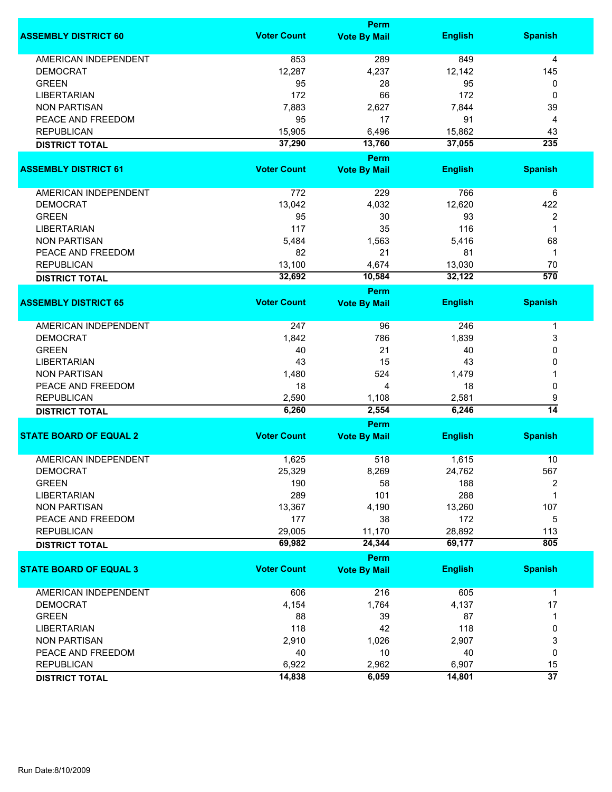|                               | <b>Perm</b>        |                                    |                |                      |  |
|-------------------------------|--------------------|------------------------------------|----------------|----------------------|--|
| <b>ASSEMBLY DISTRICT 60</b>   | <b>Voter Count</b> | <b>Vote By Mail</b>                | <b>English</b> | <b>Spanish</b>       |  |
| <b>AMERICAN INDEPENDENT</b>   | 853                | 289                                | 849            | 4                    |  |
| <b>DEMOCRAT</b>               | 12,287             | 4,237                              | 12,142         | 145                  |  |
| <b>GREEN</b>                  | 95                 | 28                                 | 95             | 0                    |  |
| <b>LIBERTARIAN</b>            | 172                | 66                                 | 172            | 0                    |  |
| <b>NON PARTISAN</b>           | 7,883              | 2,627                              | 7,844          | 39                   |  |
|                               |                    |                                    |                |                      |  |
| PEACE AND FREEDOM             | 95                 | 17                                 | 91             | 4                    |  |
| <b>REPUBLICAN</b>             | 15,905             | 6,496                              | 15,862         | 43                   |  |
| <b>DISTRICT TOTAL</b>         | 37,290             | 13,760                             | 37,055         | 235                  |  |
| <b>ASSEMBLY DISTRICT 61</b>   | <b>Voter Count</b> | Perm<br><b>Vote By Mail</b>        | <b>English</b> | <b>Spanish</b>       |  |
|                               |                    |                                    |                |                      |  |
| AMERICAN INDEPENDENT          | 772                | 229                                | 766            | 6                    |  |
| <b>DEMOCRAT</b>               | 13,042             | 4,032                              | 12,620         | 422                  |  |
| <b>GREEN</b>                  | 95                 | 30                                 | 93             | 2                    |  |
| <b>LIBERTARIAN</b>            | 117                | 35                                 | 116            | 1                    |  |
| <b>NON PARTISAN</b>           | 5,484              | 1,563                              | 5,416          | 68                   |  |
| PEACE AND FREEDOM             | 82                 | 21                                 | 81             | 1                    |  |
|                               |                    |                                    |                |                      |  |
| <b>REPUBLICAN</b>             | 13,100             | 4,674                              | 13,030         | 70                   |  |
| <b>DISTRICT TOTAL</b>         | 32,692             | 10,584                             | 32,122         | $\overline{570}$     |  |
| <b>ASSEMBLY DISTRICT 65</b>   | <b>Voter Count</b> | <b>Perm</b><br><b>Vote By Mail</b> | <b>English</b> | <b>Spanish</b>       |  |
|                               |                    |                                    |                |                      |  |
| <b>AMERICAN INDEPENDENT</b>   | 247                | 96                                 | 246            | 1                    |  |
| <b>DEMOCRAT</b>               | 1,842              | 786                                | 1,839          | 3                    |  |
| <b>GREEN</b>                  | 40                 | 21                                 | 40             | 0                    |  |
| <b>LIBERTARIAN</b>            | 43                 | 15                                 | 43             | 0                    |  |
| <b>NON PARTISAN</b>           | 1,480              | 524                                | 1,479          | 1                    |  |
| PEACE AND FREEDOM             | 18                 | 4                                  | 18             | 0                    |  |
| <b>REPUBLICAN</b>             |                    |                                    |                |                      |  |
|                               | 2,590<br>6,260     | 1,108<br>2,554                     | 2,581<br>6,246 | 9<br>$\overline{14}$ |  |
| <b>DISTRICT TOTAL</b>         |                    | Perm                               |                |                      |  |
| <b>STATE BOARD OF EQUAL 2</b> | <b>Voter Count</b> | <b>Vote By Mail</b>                | <b>English</b> | <b>Spanish</b>       |  |
|                               |                    |                                    |                |                      |  |
| <b>AMERICAN INDEPENDENT</b>   | 1,625              | 518                                | 1,615          | 10                   |  |
| DEMOCRAT                      | 25,329             | 8,269                              | 24,762         | 567                  |  |
| <b>GREEN</b>                  | 190                | 58                                 | 188            | 2                    |  |
| <b>LIBERTARIAN</b>            | 289                | 101                                | 288            | 1                    |  |
| <b>NON PARTISAN</b>           | 13,367             | 4,190                              | 13,260         | 107                  |  |
| PEACE AND FREEDOM             | 177                | 38                                 | 172            | 5                    |  |
| <b>REPUBLICAN</b>             | 29,005             | 11,170                             | 28,892         | 113                  |  |
| <b>DISTRICT TOTAL</b>         | 69,982             | 24,344                             | 69,177         | 805                  |  |
|                               |                    | <b>Perm</b>                        |                |                      |  |
| <b>STATE BOARD OF EQUAL 3</b> | <b>Voter Count</b> | <b>Vote By Mail</b>                | <b>English</b> | <b>Spanish</b>       |  |
| <b>AMERICAN INDEPENDENT</b>   | 606                | 216                                | 605            | $\mathbf{1}$         |  |
| <b>DEMOCRAT</b>               | 4,154              | 1,764                              | 4,137          | 17                   |  |
| <b>GREEN</b>                  | 88                 | 39                                 | 87             | 1                    |  |
| <b>LIBERTARIAN</b>            | 118                | 42                                 | 118            | 0                    |  |
| <b>NON PARTISAN</b>           | 2,910              | 1,026                              | 2,907          | 3                    |  |
| PEACE AND FREEDOM             | 40                 | 10                                 | 40             | 0                    |  |
| <b>REPUBLICAN</b>             | 6,922              | 2,962                              | 6,907          | 15                   |  |
|                               | 14,838             |                                    | 14,801         | $\overline{37}$      |  |
| <b>DISTRICT TOTAL</b>         |                    | 6,059                              |                |                      |  |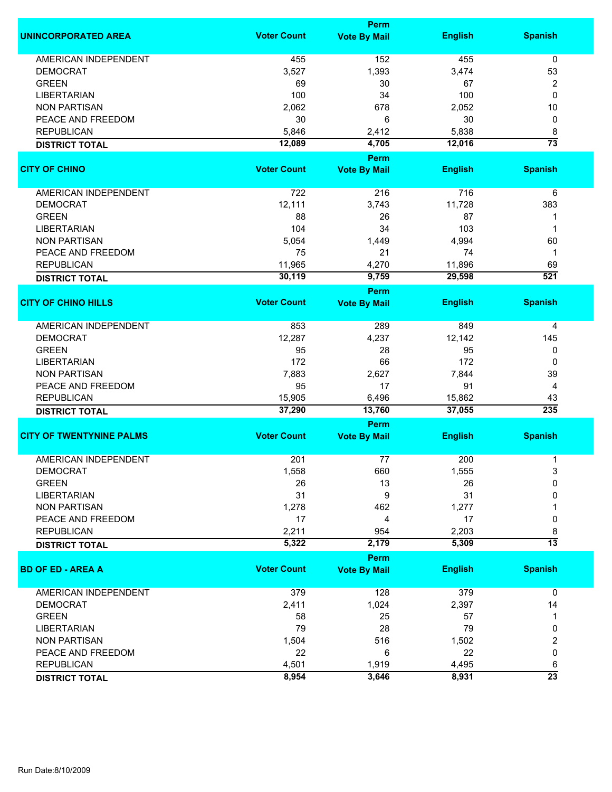|                                 | Perm               |                                    |                |                 |  |
|---------------------------------|--------------------|------------------------------------|----------------|-----------------|--|
| <b>UNINCORPORATED AREA</b>      | <b>Voter Count</b> | <b>Vote By Mail</b>                | <b>English</b> | <b>Spanish</b>  |  |
| <b>AMERICAN INDEPENDENT</b>     | 455                | 152                                | 455            | 0               |  |
| <b>DEMOCRAT</b>                 | 3,527              | 1,393                              | 3,474          | 53              |  |
| <b>GREEN</b>                    | 69                 | 30                                 | 67             | 2               |  |
| <b>LIBERTARIAN</b>              | 100                | 34                                 | 100            | 0               |  |
| <b>NON PARTISAN</b>             | 2,062              | 678                                | 2,052          | 10              |  |
| PEACE AND FREEDOM               |                    |                                    |                |                 |  |
|                                 | 30                 | 6                                  | 30             | 0               |  |
| <b>REPUBLICAN</b>               | 5,846              | 2,412                              | 5,838          | 8               |  |
| <b>DISTRICT TOTAL</b>           | 12,089             | 4,705                              | 12,016         | $\overline{73}$ |  |
| <b>CITY OF CHINO</b>            | <b>Voter Count</b> | Perm<br><b>Vote By Mail</b>        | <b>English</b> | <b>Spanish</b>  |  |
|                                 |                    |                                    |                |                 |  |
| AMERICAN INDEPENDENT            | 722                | 216                                | 716            | 6               |  |
| <b>DEMOCRAT</b>                 | 12,111             | 3,743                              | 11,728         | 383             |  |
| <b>GREEN</b>                    | 88                 | 26                                 | 87             | 1               |  |
| <b>LIBERTARIAN</b>              | 104                | 34                                 | 103            | 1               |  |
| <b>NON PARTISAN</b>             | 5,054              | 1,449                              | 4,994          | 60              |  |
| PEACE AND FREEDOM               | 75                 | 21                                 | 74             | 1               |  |
|                                 |                    |                                    |                |                 |  |
| <b>REPUBLICAN</b>               | 11,965             | 4,270                              | 11,896         | 69              |  |
| <b>DISTRICT TOTAL</b>           | 30,119             | 9,759                              | 29,598         | 521             |  |
| <b>CITY OF CHINO HILLS</b>      | <b>Voter Count</b> | <b>Perm</b><br><b>Vote By Mail</b> | <b>English</b> | <b>Spanish</b>  |  |
|                                 |                    |                                    |                |                 |  |
| <b>AMERICAN INDEPENDENT</b>     | 853                | 289                                | 849            | 4               |  |
| <b>DEMOCRAT</b>                 | 12,287             | 4,237                              | 12,142         | 145             |  |
| <b>GREEN</b>                    | 95                 | 28                                 | 95             | 0               |  |
| <b>LIBERTARIAN</b>              | 172                | 66                                 | 172            | 0               |  |
| <b>NON PARTISAN</b>             | 7,883              | 2,627                              | 7,844          | 39              |  |
|                                 | 95                 | 17                                 | 91             |                 |  |
| PEACE AND FREEDOM               |                    |                                    |                | 4               |  |
| <b>REPUBLICAN</b>               | 15,905<br>37,290   | 6,496                              | 15,862         | 43<br>235       |  |
| <b>DISTRICT TOTAL</b>           |                    | 13,760<br>Perm                     | 37,055         |                 |  |
| <b>CITY OF TWENTYNINE PALMS</b> | <b>Voter Count</b> | <b>Vote By Mail</b>                | <b>English</b> | <b>Spanish</b>  |  |
|                                 |                    |                                    |                |                 |  |
| <b>AMERICAN INDEPENDENT</b>     | 201                | 77                                 | 200            | 1               |  |
| <b>DEMOCRAT</b>                 | 1,558              | 660                                | 1,555          | 3               |  |
| <b>GREEN</b>                    | 26                 | 13                                 | 26             | 0               |  |
| <b>LIBERTARIAN</b>              | 31                 | 9                                  | 31             | 0               |  |
| <b>NON PARTISAN</b>             | 1,278              | 462                                | 1,277          |                 |  |
| PEACE AND FREEDOM               | 17                 | 4                                  | 17             | 0               |  |
| <b>REPUBLICAN</b>               | 2,211              | 954                                | 2,203          | 8               |  |
| <b>DISTRICT TOTAL</b>           | 5,322              | 2,179                              | 5,309          | $\overline{13}$ |  |
|                                 |                    | <b>Perm</b>                        |                |                 |  |
| <b>BD OF ED - AREA A</b>        | <b>Voter Count</b> | <b>Vote By Mail</b>                | <b>English</b> | <b>Spanish</b>  |  |
| <b>AMERICAN INDEPENDENT</b>     | 379                | 128                                | 379            | $\mathbf 0$     |  |
| <b>DEMOCRAT</b>                 | 2,411              | 1,024                              | 2,397          | 14              |  |
| <b>GREEN</b>                    | 58                 | 25                                 | 57             | 1               |  |
| <b>LIBERTARIAN</b>              | 79                 | 28                                 | 79             | 0               |  |
| <b>NON PARTISAN</b>             | 1,504              | 516                                | 1,502          | 2               |  |
| PEACE AND FREEDOM               | 22                 | 6                                  | 22             | 0               |  |
|                                 |                    |                                    |                |                 |  |
| <b>REPUBLICAN</b>               | 4,501              | 1,919                              | 4,495          | 6               |  |
| <b>DISTRICT TOTAL</b>           | 8,954              | 3,646                              | 8,931          | $\overline{23}$ |  |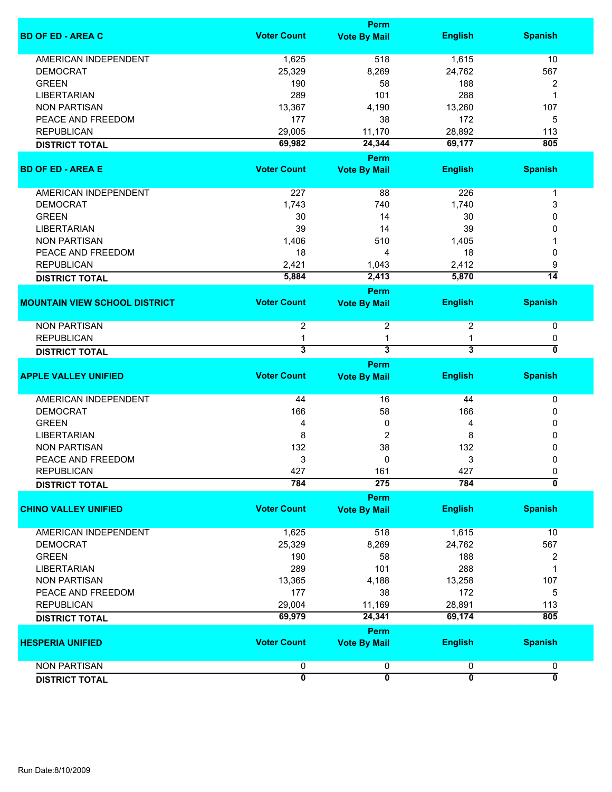|                                      |                    | <b>Perm</b>                        |                         |                           |
|--------------------------------------|--------------------|------------------------------------|-------------------------|---------------------------|
| <b>BD OF ED - AREA C</b>             | <b>Voter Count</b> | <b>Vote By Mail</b>                | <b>English</b>          | <b>Spanish</b>            |
| <b>AMERICAN INDEPENDENT</b>          | 1,625              | 518                                | 1,615                   | 10                        |
| <b>DEMOCRAT</b>                      | 25,329             | 8,269                              | 24,762                  | 567                       |
| <b>GREEN</b>                         | 190                | 58                                 | 188                     | 2                         |
| <b>LIBERTARIAN</b>                   | 289                | 101                                | 288                     | 1                         |
|                                      |                    |                                    |                         |                           |
| <b>NON PARTISAN</b>                  | 13,367             | 4,190                              | 13,260                  | 107                       |
| PEACE AND FREEDOM                    | 177                | 38                                 | 172                     | 5                         |
| <b>REPUBLICAN</b>                    | 29,005             | 11,170                             | 28,892                  | 113                       |
| <b>DISTRICT TOTAL</b>                | 69,982             | 24,344                             | 69,177                  | 805                       |
| <b>BD OF ED - AREA E</b>             | <b>Voter Count</b> | <b>Perm</b><br><b>Vote By Mail</b> | <b>English</b>          | <b>Spanish</b>            |
| AMERICAN INDEPENDENT                 | 227                | 88                                 | 226                     | 1                         |
| <b>DEMOCRAT</b>                      | 1,743              | 740                                | 1,740                   | 3                         |
| <b>GREEN</b>                         | 30                 | 14                                 | 30                      | 0                         |
|                                      |                    | 14                                 |                         | 0                         |
| <b>LIBERTARIAN</b>                   | 39                 |                                    | 39                      |                           |
| <b>NON PARTISAN</b>                  | 1,406              | 510                                | 1,405                   |                           |
| PEACE AND FREEDOM                    | 18                 | 4                                  | 18                      | 0                         |
| <b>REPUBLICAN</b>                    | 2,421              | 1,043                              | 2,412                   | 9                         |
| <b>DISTRICT TOTAL</b>                | 5,884              | 2,413                              | 5,870                   | $\overline{14}$           |
|                                      |                    | <b>Perm</b>                        |                         |                           |
| <b>MOUNTAIN VIEW SCHOOL DISTRICT</b> | <b>Voter Count</b> | <b>Vote By Mail</b>                | <b>English</b>          | <b>Spanish</b>            |
| <b>NON PARTISAN</b>                  | $\overline{2}$     | 2                                  | 2                       | $\pmb{0}$                 |
| <b>REPUBLICAN</b>                    | 1                  | 1                                  | 1                       | 0                         |
| <b>DISTRICT TOTAL</b>                | 3                  | $\overline{\mathbf{3}}$            | $\overline{\mathbf{3}}$ | 0                         |
|                                      |                    | Perm                               |                         |                           |
| <b>APPLE VALLEY UNIFIED</b>          | <b>Voter Count</b> | <b>Vote By Mail</b>                | <b>English</b>          | <b>Spanish</b>            |
| <b>AMERICAN INDEPENDENT</b>          | 44                 | 16                                 | 44                      | 0                         |
| <b>DEMOCRAT</b>                      | 166                | 58                                 | 166                     | 0                         |
| <b>GREEN</b>                         | 4                  | 0                                  | 4                       | 0                         |
| <b>LIBERTARIAN</b>                   | 8                  | $\overline{c}$                     | 8                       | 0                         |
| <b>NON PARTISAN</b>                  | 132                | 38                                 | 132                     |                           |
|                                      |                    |                                    |                         | 0                         |
| PEACE AND FREEDOM                    | 3                  | 0                                  | 3                       | 0                         |
| <b>REPUBLICAN</b>                    | 427                | 161                                | 427                     | 0                         |
| <b>DISTRICT TOTAL</b>                | 784                | 275                                | 784                     | $\overline{\mathfrak{o}}$ |
|                                      |                    | <b>Perm</b>                        |                         |                           |
| <b>CHINO VALLEY UNIFIED</b>          | <b>Voter Count</b> | <b>Vote By Mail</b>                | <b>English</b>          | <b>Spanish</b>            |
| <b>AMERICAN INDEPENDENT</b>          | 1,625              | 518                                | 1,615                   | 10                        |
| <b>DEMOCRAT</b>                      | 25,329             | 8,269                              | 24,762                  | 567                       |
| <b>GREEN</b>                         | 190                | 58                                 | 188                     | 2                         |
| <b>LIBERTARIAN</b>                   | 289                | 101                                | 288                     | 1                         |
|                                      |                    |                                    |                         |                           |
| <b>NON PARTISAN</b>                  | 13,365             | 4,188                              | 13,258                  | 107                       |
| PEACE AND FREEDOM                    | 177                | 38                                 | 172                     | 5                         |
| <b>REPUBLICAN</b>                    | 29,004             | 11,169                             | 28,891                  | 113                       |
| <b>DISTRICT TOTAL</b>                | 69,979             | 24,341                             | 69,174                  | 805                       |
| <b>HESPERIA UNIFIED</b>              | <b>Voter Count</b> | <b>Perm</b><br><b>Vote By Mail</b> | <b>English</b>          | <b>Spanish</b>            |
| <b>NON PARTISAN</b>                  | 0                  | 0                                  | 0                       | 0                         |
| <b>DISTRICT TOTAL</b>                | $\overline{0}$     | $\overline{0}$                     | $\overline{0}$          | $\overline{0}$            |
|                                      |                    |                                    |                         |                           |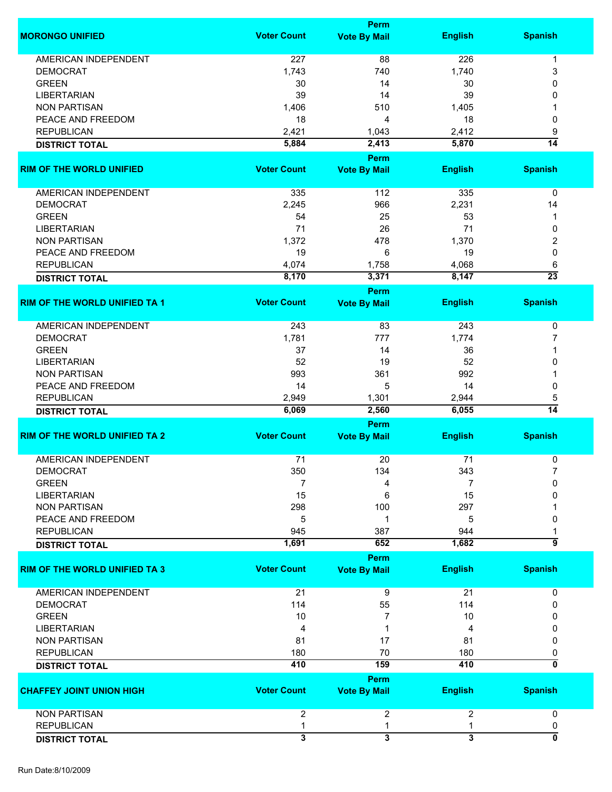|                                      |                         | <b>Perm</b>                        |                         |                 |
|--------------------------------------|-------------------------|------------------------------------|-------------------------|-----------------|
| <b>MORONGO UNIFIED</b>               | <b>Voter Count</b>      | <b>Vote By Mail</b>                | <b>English</b>          | <b>Spanish</b>  |
| <b>AMERICAN INDEPENDENT</b>          | 227                     | 88                                 | 226                     | 1               |
|                                      |                         |                                    |                         |                 |
| <b>DEMOCRAT</b>                      | 1,743                   | 740                                | 1,740                   | 3               |
| <b>GREEN</b>                         | 30                      | 14                                 | 30                      | 0               |
| <b>LIBERTARIAN</b>                   | 39                      | 14                                 | 39                      | 0               |
| <b>NON PARTISAN</b>                  | 1,406                   | 510                                | 1,405                   |                 |
| PEACE AND FREEDOM                    | 18                      | 4                                  | 18                      | 0               |
| <b>REPUBLICAN</b>                    | 2,421                   | 1,043                              | 2,412                   | 9               |
| <b>DISTRICT TOTAL</b>                | 5,884                   | 2,413                              | 5,870                   | $\overline{14}$ |
|                                      |                         | Perm                               |                         |                 |
| <b>RIM OF THE WORLD UNIFIED</b>      | <b>Voter Count</b>      | <b>Vote By Mail</b>                | <b>English</b>          | <b>Spanish</b>  |
| AMERICAN INDEPENDENT                 | 335                     | 112                                | 335                     | $\mathbf 0$     |
| <b>DEMOCRAT</b>                      | 2,245                   | 966                                | 2,231                   | 14              |
| <b>GREEN</b>                         | 54                      | 25                                 | 53                      | 1               |
| <b>LIBERTARIAN</b>                   | 71                      | 26                                 | 71                      | 0               |
| <b>NON PARTISAN</b>                  | 1,372                   | 478                                | 1,370                   | 2               |
|                                      | 19                      |                                    |                         |                 |
| PEACE AND FREEDOM                    |                         | 6                                  | 19                      | 0               |
| <b>REPUBLICAN</b>                    | 4,074                   | 1,758                              | 4,068                   | 6               |
| <b>DISTRICT TOTAL</b>                | 8,170                   | 3,371<br>Perm                      | 8,147                   | $\overline{23}$ |
| <b>RIM OF THE WORLD UNIFIED TA 1</b> | <b>Voter Count</b>      | <b>Vote By Mail</b>                | <b>English</b>          | <b>Spanish</b>  |
|                                      |                         |                                    |                         |                 |
| AMERICAN INDEPENDENT                 | 243                     | 83                                 | 243                     | $\pmb{0}$       |
| <b>DEMOCRAT</b>                      | 1,781                   | 777                                | 1,774                   | 7               |
| <b>GREEN</b>                         | 37                      | 14                                 | 36                      |                 |
| <b>LIBERTARIAN</b>                   | 52                      | 19                                 | 52                      | 0               |
| <b>NON PARTISAN</b>                  | 993                     | 361                                | 992                     |                 |
| PEACE AND FREEDOM                    | 14                      | 5                                  | 14                      | 0               |
| <b>REPUBLICAN</b>                    | 2,949                   | 1,301                              | 2,944                   |                 |
|                                      | 6,069                   | 2,560                              | 6,055                   | 5<br>14         |
| <b>DISTRICT TOTAL</b>                |                         |                                    |                         |                 |
|                                      |                         | <b>Perm</b>                        |                         |                 |
| <b>RIM OF THE WORLD UNIFIED TA 2</b> | <b>Voter Count</b>      | <b>Vote By Mail</b>                | <b>English</b>          | <b>Spanish</b>  |
| <b>AMERICAN INDEPENDENT</b>          | 71                      | 20                                 | 71                      | 0               |
| <b>DEMOCRAT</b>                      | 350                     | 134                                | 343                     | 7               |
| <b>GREEN</b>                         | 7                       | 4                                  | 7                       | 0               |
| <b>LIBERTARIAN</b>                   | 15                      | 6                                  | 15                      | 0               |
| <b>NON PARTISAN</b>                  | 298                     | 100                                | 297                     |                 |
| PEACE AND FREEDOM                    | 5                       | 1                                  | 5                       | 0               |
|                                      | 945                     | 387                                | 944                     |                 |
| <b>REPUBLICAN</b>                    |                         |                                    |                         | $\overline{9}$  |
| <b>DISTRICT TOTAL</b>                | 1,691                   | 652                                | 1,682                   |                 |
| <b>RIM OF THE WORLD UNIFIED TA 3</b> | <b>Voter Count</b>      | <b>Perm</b><br><b>Vote By Mail</b> | <b>English</b>          | <b>Spanish</b>  |
|                                      |                         |                                    |                         |                 |
| <b>AMERICAN INDEPENDENT</b>          | 21                      | 9                                  | 21                      | 0               |
| <b>DEMOCRAT</b>                      | 114                     | 55                                 | 114                     | 0               |
| <b>GREEN</b>                         | 10                      | 7                                  | 10                      | 0               |
| <b>LIBERTARIAN</b>                   | 4                       |                                    | 4                       | 0               |
| <b>NON PARTISAN</b>                  | 81                      | 17                                 | 81                      | 0               |
| <b>REPUBLICAN</b>                    | 180                     | 70                                 | 180                     | 0               |
| <b>DISTRICT TOTAL</b>                | 410                     | 159                                | 410                     | ō               |
|                                      |                         | <b>Perm</b>                        |                         |                 |
| <b>CHAFFEY JOINT UNION HIGH</b>      | <b>Voter Count</b>      | <b>Vote By Mail</b>                | <b>English</b>          | <b>Spanish</b>  |
| <b>NON PARTISAN</b>                  | $\overline{2}$          | 2                                  | 2                       | 0               |
| <b>REPUBLICAN</b>                    | 1                       | 1                                  | 1                       | 0               |
|                                      | $\overline{\mathbf{3}}$ | $\overline{\mathbf{3}}$            | $\overline{\mathbf{3}}$ | 0               |
| <b>DISTRICT TOTAL</b>                |                         |                                    |                         |                 |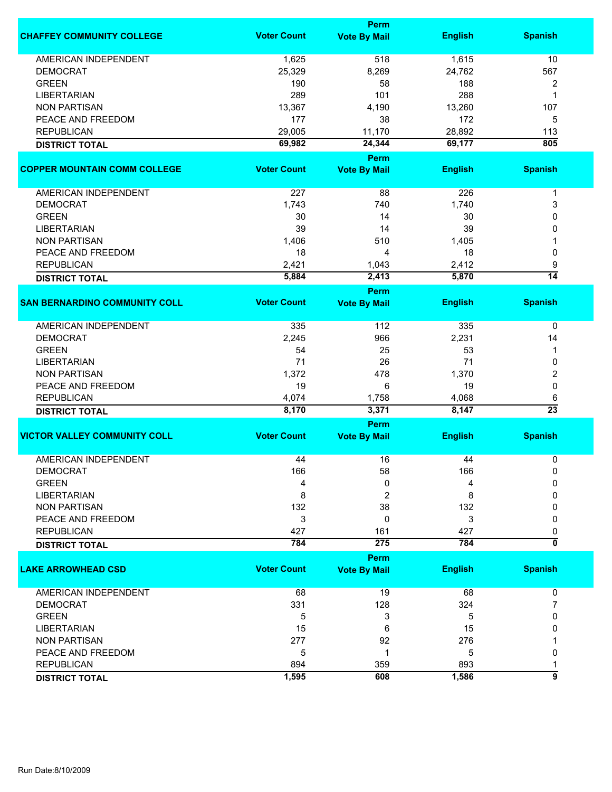|                                      |                    | Perm                |                |                         |
|--------------------------------------|--------------------|---------------------|----------------|-------------------------|
| <b>CHAFFEY COMMUNITY COLLEGE</b>     | <b>Voter Count</b> | <b>Vote By Mail</b> | <b>English</b> | <b>Spanish</b>          |
| <b>AMERICAN INDEPENDENT</b>          | 1,625              | 518                 | 1,615          | 10                      |
| <b>DEMOCRAT</b>                      | 25,329             | 8,269               | 24,762         | 567                     |
| <b>GREEN</b>                         | 190                | 58                  | 188            | $\overline{\mathbf{c}}$ |
| <b>LIBERTARIAN</b>                   | 289                | 101                 | 288            | 1                       |
| <b>NON PARTISAN</b>                  | 13,367             | 4,190               | 13,260         | 107                     |
|                                      |                    |                     |                |                         |
| PEACE AND FREEDOM                    | 177                | 38                  | 172            | 5                       |
| <b>REPUBLICAN</b>                    | 29,005             | 11,170              | 28,892         | 113                     |
| <b>DISTRICT TOTAL</b>                | 69,982             | 24,344              | 69,177         | 805                     |
|                                      | <b>Voter Count</b> | Perm                |                |                         |
| <b>COPPER MOUNTAIN COMM COLLEGE</b>  |                    | <b>Vote By Mail</b> | <b>English</b> | <b>Spanish</b>          |
| AMERICAN INDEPENDENT                 | 227                | 88                  | 226            | $\mathbf 1$             |
| <b>DEMOCRAT</b>                      | 1,743              | 740                 | 1,740          | 3                       |
| <b>GREEN</b>                         | 30                 | 14                  | 30             | 0                       |
| <b>LIBERTARIAN</b>                   | 39                 | 14                  | 39             | 0                       |
| <b>NON PARTISAN</b>                  | 1,406              | 510                 | 1,405          |                         |
| PEACE AND FREEDOM                    | 18                 | 4                   | 18             | 0                       |
| <b>REPUBLICAN</b>                    | 2,421              | 1,043               | 2,412          | 9                       |
|                                      |                    |                     |                | $\overline{14}$         |
| <b>DISTRICT TOTAL</b>                | 5,884              | 2,413<br>Perm       | 5,870          |                         |
| <b>SAN BERNARDINO COMMUNITY COLL</b> | <b>Voter Count</b> | <b>Vote By Mail</b> | <b>English</b> | <b>Spanish</b>          |
|                                      |                    |                     |                |                         |
| <b>AMERICAN INDEPENDENT</b>          | 335                | 112                 | 335            | 0                       |
| <b>DEMOCRAT</b>                      | 2,245              | 966                 | 2,231          | 14                      |
| <b>GREEN</b>                         | 54                 | 25                  | 53             | 1                       |
| <b>LIBERTARIAN</b>                   | 71                 | 26                  | 71             | 0                       |
| <b>NON PARTISAN</b>                  | 1,372              | 478                 | 1,370          | 2                       |
| PEACE AND FREEDOM                    | 19                 | 6                   | 19             | 0                       |
| <b>REPUBLICAN</b>                    | 4,074              | 1,758               | 4,068          | 6                       |
|                                      | 8,170              | 3,371               | 8,147          | $\overline{23}$         |
| <b>DISTRICT TOTAL</b>                |                    | Perm                |                |                         |
| <b>VICTOR VALLEY COMMUNITY COLL</b>  | <b>Voter Count</b> | <b>Vote By Mail</b> | <b>English</b> | <b>Spanish</b>          |
|                                      |                    |                     |                |                         |
| <b>AMERICAN INDEPENDENT</b>          | 44                 | 16                  | 44             | 0                       |
| <b>DEMOCRAT</b>                      | 166                | 58                  | 166            | 0                       |
| <b>GREEN</b>                         | 4                  | 0                   | 4              | 0                       |
| <b>LIBERTARIAN</b>                   | 8                  | 2                   | 8              | 0                       |
| <b>NON PARTISAN</b>                  | 132                | 38                  | 132            | 0                       |
| PEACE AND FREEDOM                    | 3                  | 0                   | 3              | 0                       |
| <b>REPUBLICAN</b>                    | 427                | 161                 | 427            | 0                       |
| <b>DISTRICT TOTAL</b>                | 784                | 275                 | 784            | $\overline{\mathbf{0}}$ |
|                                      |                    | Perm                |                |                         |
| <b>LAKE ARROWHEAD CSD</b>            | <b>Voter Count</b> | <b>Vote By Mail</b> | <b>English</b> | <b>Spanish</b>          |
| AMERICAN INDEPENDENT                 | 68                 | 19                  | 68             | 0                       |
| <b>DEMOCRAT</b>                      | 331                | 128                 | 324            | 7                       |
| <b>GREEN</b>                         | 5                  | 3                   | 5              | 0                       |
| <b>LIBERTARIAN</b>                   | 15                 | 6                   | 15             | 0                       |
| <b>NON PARTISAN</b>                  | 277                | 92                  | 276            |                         |
| PEACE AND FREEDOM                    | 5                  | 1                   | 5              | 0                       |
| <b>REPUBLICAN</b>                    | 894                | 359                 | 893            |                         |
|                                      |                    |                     |                | 1<br>5                  |
| <b>DISTRICT TOTAL</b>                | 1,595              | 608                 | 1,586          |                         |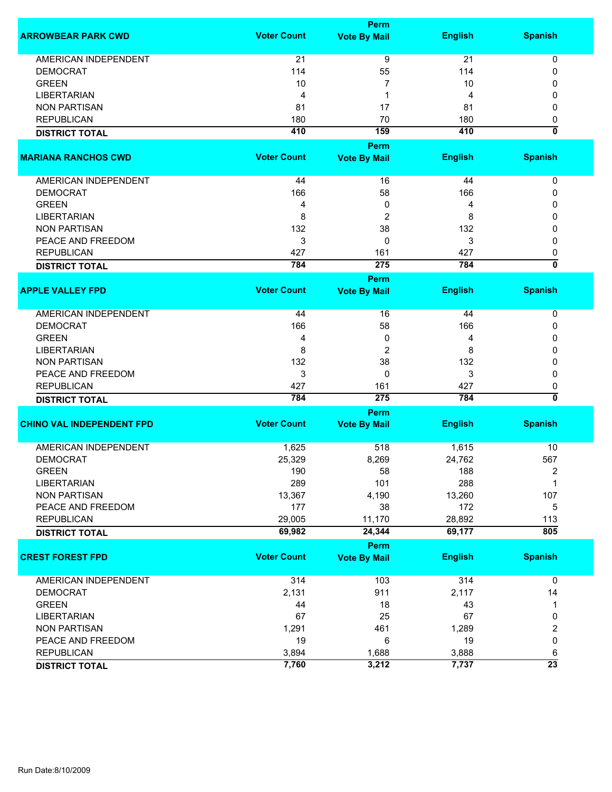|                                  |                    | Perm                |                |                           |
|----------------------------------|--------------------|---------------------|----------------|---------------------------|
| <b>ARROWBEAR PARK CWD</b>        | <b>Voter Count</b> | <b>Vote By Mail</b> | <b>English</b> | <b>Spanish</b>            |
| <b>AMERICAN INDEPENDENT</b>      | 21                 | 9                   | 21             | 0                         |
| <b>DEMOCRAT</b>                  | 114                | 55                  | 114            | 0                         |
| <b>GREEN</b>                     | 10                 | 7                   | 10             | 0                         |
| <b>LIBERTARIAN</b>               | 4                  | 1                   | 4              | 0                         |
| <b>NON PARTISAN</b>              | 81                 | 17                  | 81             |                           |
|                                  |                    |                     |                | 0                         |
| <b>REPUBLICAN</b>                | 180                | 70                  | 180            | 0                         |
| <b>DISTRICT TOTAL</b>            | 410                | 159                 | 410            | $\overline{\mathfrak{o}}$ |
|                                  |                    | <b>Perm</b>         |                |                           |
| <b>MARIANA RANCHOS CWD</b>       | <b>Voter Count</b> | <b>Vote By Mail</b> | <b>English</b> | <b>Spanish</b>            |
|                                  |                    |                     |                |                           |
| AMERICAN INDEPENDENT             | 44                 | 16                  | 44             | 0                         |
| <b>DEMOCRAT</b>                  | 166                | 58                  | 166            | 0                         |
| <b>GREEN</b>                     | 4                  | 0                   | 4              | 0                         |
| <b>LIBERTARIAN</b>               | 8                  | 2                   | 8              | 0                         |
| <b>NON PARTISAN</b>              | 132                | 38                  | 132            | 0                         |
| PEACE AND FREEDOM                | 3                  | 0                   | 3              | 0                         |
| <b>REPUBLICAN</b>                | 427                | 161                 | 427            | 0                         |
| <b>DISTRICT TOTAL</b>            | 784                | 275                 | 784            | $\overline{\mathfrak{o}}$ |
|                                  |                    | Perm                |                |                           |
| <b>APPLE VALLEY FPD</b>          | <b>Voter Count</b> | <b>Vote By Mail</b> | <b>English</b> | <b>Spanish</b>            |
|                                  |                    |                     |                |                           |
| <b>AMERICAN INDEPENDENT</b>      | 44                 | 16                  | 44             | 0                         |
| <b>DEMOCRAT</b>                  | 166                | 58                  | 166            | 0                         |
| <b>GREEN</b>                     | 4                  | 0                   | 4              | 0                         |
| <b>LIBERTARIAN</b>               | 8                  | 2                   | 8              | 0                         |
| <b>NON PARTISAN</b>              | 132                | 38                  | 132            | 0                         |
| PEACE AND FREEDOM                | 3                  | 0                   | 3              | 0                         |
| <b>REPUBLICAN</b>                | 427                | 161                 | 427            | 0                         |
| <b>DISTRICT TOTAL</b>            | 784                | 275                 | 784            | $\overline{\mathbf{0}}$   |
|                                  |                    | Perm                |                |                           |
| <b>CHINO VAL INDEPENDENT FPD</b> | <b>Voter Count</b> | <b>Vote By Mail</b> | <b>English</b> | <b>Spanish</b>            |
| <b>AMERICAN INDEPENDENT</b>      | 1,625              | 518                 | 1,615          | 10                        |
| <b>DEMOCRAT</b>                  | 25,329             | 8,269               | 24,762         | 567                       |
| <b>GREEN</b>                     | 190                | 58                  | 188            | 2                         |
| <b>LIBERTARIAN</b>               | 289                | 101                 | 288            | 1                         |
| <b>NON PARTISAN</b>              | 13,367             | 4,190               | 13,260         | 107                       |
| PEACE AND FREEDOM                | 177                | 38                  | 172            |                           |
|                                  |                    |                     |                | 5                         |
| <b>REPUBLICAN</b>                | 29,005             | 11,170              | 28,892         | 113                       |
| <b>DISTRICT TOTAL</b>            | 69,982             | 24,344              | 69,177         | 805                       |
|                                  |                    | Perm                |                |                           |
| <b>CREST FOREST FPD</b>          | <b>Voter Count</b> | <b>Vote By Mail</b> | <b>English</b> | <b>Spanish</b>            |
| <b>AMERICAN INDEPENDENT</b>      | 314                | 103                 | 314            | $\mathbf 0$               |
| <b>DEMOCRAT</b>                  | 2,131              | 911                 | 2,117          | 14                        |
| <b>GREEN</b>                     | 44                 | 18                  | 43             | 1                         |
| <b>LIBERTARIAN</b>               | 67                 | 25                  | 67             | 0                         |
| <b>NON PARTISAN</b>              | 1,291              | 461                 | 1,289          | $\overline{\mathbf{c}}$   |
|                                  |                    |                     |                |                           |
| PEACE AND FREEDOM                | 19                 | 6                   | 19             | 0                         |
| <b>REPUBLICAN</b>                | 3,894              | 1,688               | 3,888          | 6                         |
| <b>DISTRICT TOTAL</b>            | 7,760              | 3,212               | 7,737          | $\overline{23}$           |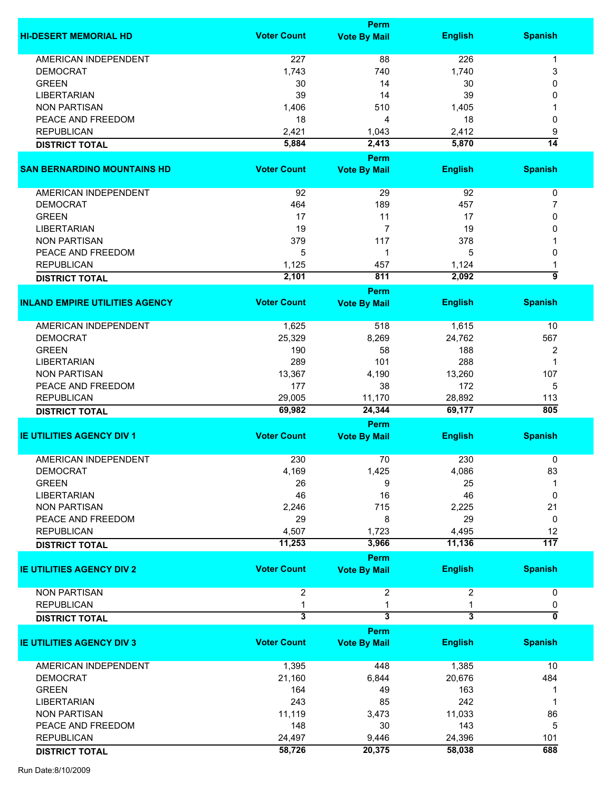|                                       |                    | <b>Perm</b>                 |                         |                  |
|---------------------------------------|--------------------|-----------------------------|-------------------------|------------------|
| <b>HI-DESERT MEMORIAL HD</b>          | <b>Voter Count</b> | <b>Vote By Mail</b>         | <b>English</b>          | <b>Spanish</b>   |
| <b>AMERICAN INDEPENDENT</b>           | 227                | 88                          | 226                     | 1                |
| <b>DEMOCRAT</b>                       | 1,743              | 740                         | 1,740                   | 3                |
|                                       |                    |                             |                         |                  |
| <b>GREEN</b>                          | 30                 | 14                          | 30                      | $\Omega$         |
| <b>LIBERTARIAN</b>                    | 39                 | 14                          | 39                      | 0                |
| <b>NON PARTISAN</b>                   | 1,406              | 510                         | 1,405                   |                  |
| PEACE AND FREEDOM                     | 18                 | 4                           | 18                      | 0                |
| <b>REPUBLICAN</b>                     | 2,421              | 1,043                       | 2,412                   | 9                |
| <b>DISTRICT TOTAL</b>                 | 5,884              | 2,413                       | 5,870                   | $\overline{14}$  |
|                                       |                    | Perm                        |                         |                  |
| <b>SAN BERNARDINO MOUNTAINS HD</b>    | <b>Voter Count</b> | <b>Vote By Mail</b>         | <b>English</b>          | <b>Spanish</b>   |
| <b>AMERICAN INDEPENDENT</b>           | 92                 | 29                          | 92                      | 0                |
| <b>DEMOCRAT</b>                       | 464                | 189                         | 457                     | 7                |
| <b>GREEN</b>                          | 17                 | 11                          | 17                      | 0                |
| <b>LIBERTARIAN</b>                    | 19                 | $\overline{7}$              | 19                      | $\Omega$         |
| <b>NON PARTISAN</b>                   | 379                | 117                         | 378                     |                  |
| PEACE AND FREEDOM                     | 5                  | 1                           | 5                       | 0                |
| <b>REPUBLICAN</b>                     | 1,125              | 457                         | 1,124                   |                  |
|                                       | 2,101              | 811                         | 2,092                   | 9                |
| <b>DISTRICT TOTAL</b>                 |                    |                             |                         |                  |
| <b>INLAND EMPIRE UTILITIES AGENCY</b> | <b>Voter Count</b> | Perm<br><b>Vote By Mail</b> | <b>English</b>          | <b>Spanish</b>   |
| AMERICAN INDEPENDENT                  | 1,625              | 518                         | 1,615                   | 10               |
| <b>DEMOCRAT</b>                       | 25,329             | 8,269                       | 24,762                  | 567              |
| <b>GREEN</b>                          | 190                | 58                          | 188                     | 2                |
|                                       | 289                | 101                         | 288                     | $\mathbf 1$      |
| <b>LIBERTARIAN</b>                    |                    |                             |                         |                  |
| <b>NON PARTISAN</b>                   | 13,367             | 4,190                       | 13,260                  | 107              |
| PEACE AND FREEDOM                     | 177                | 38                          | 172                     | 5                |
| <b>REPUBLICAN</b>                     | 29,005             | 11,170                      | 28,892                  | 113              |
| <b>DISTRICT TOTAL</b>                 | 69,982             | 24,344                      | 69,177                  | 805              |
|                                       |                    | Perm                        |                         |                  |
| <b>IE UTILITIES AGENCY DIV 1</b>      | <b>Voter Count</b> | <b>Vote By Mail</b>         | <b>English</b>          | <b>Spanish</b>   |
| AMERICAN INDEPENDENT                  | 230                | 70                          | 230                     | 0                |
| <b>DEMOCRAT</b>                       | 4,169              | 1,425                       | 4,086                   | 83               |
| <b>GREEN</b>                          | 26                 | 9                           | 25                      | -1               |
| <b>LIBERTARIAN</b>                    | 46                 | 16                          | 46                      | 0                |
| <b>NON PARTISAN</b>                   | 2,246              | 715                         | 2,225                   | 21               |
| PEACE AND FREEDOM                     | 29                 | 8                           | 29                      | 0                |
| <b>REPUBLICAN</b>                     | 4,507              | 1,723                       | 4,495                   | 12               |
| <b>DISTRICT TOTAL</b>                 | 11,253             | 3,966                       | 11,136                  | $\overline{117}$ |
|                                       |                    | Perm                        |                         |                  |
| <b>IE UTILITIES AGENCY DIV 2</b>      | <b>Voter Count</b> | <b>Vote By Mail</b>         | <b>English</b>          | <b>Spanish</b>   |
| <b>NON PARTISAN</b>                   | $\overline{2}$     | $\overline{\mathbf{c}}$     | $\overline{2}$          | 0                |
| <b>REPUBLICAN</b>                     | 1                  | 1                           |                         | 0                |
| <b>DISTRICT TOTAL</b>                 | 3                  | 3                           | $\overline{\mathbf{3}}$ | 0                |
|                                       |                    | Perm                        |                         |                  |
| <b>IE UTILITIES AGENCY DIV 3</b>      | <b>Voter Count</b> | <b>Vote By Mail</b>         | <b>English</b>          | <b>Spanish</b>   |
| <b>AMERICAN INDEPENDENT</b>           | 1,395              | 448                         | 1,385                   | 10               |
| <b>DEMOCRAT</b>                       | 21,160             | 6,844                       | 20,676                  | 484              |
| <b>GREEN</b>                          | 164                | 49                          | 163                     |                  |
| <b>LIBERTARIAN</b>                    | 243                | 85                          | 242                     | 1                |
| <b>NON PARTISAN</b>                   | 11,119             | 3,473                       | 11,033                  | 86               |
| PEACE AND FREEDOM                     | 148                | 30                          | 143                     | 5                |
|                                       |                    |                             |                         |                  |
| <b>REPUBLICAN</b>                     | 24,497             | 9,446                       | 24,396                  | 101              |
| <b>DISTRICT TOTAL</b>                 | 58,726             | 20,375                      | 58,038                  | 688              |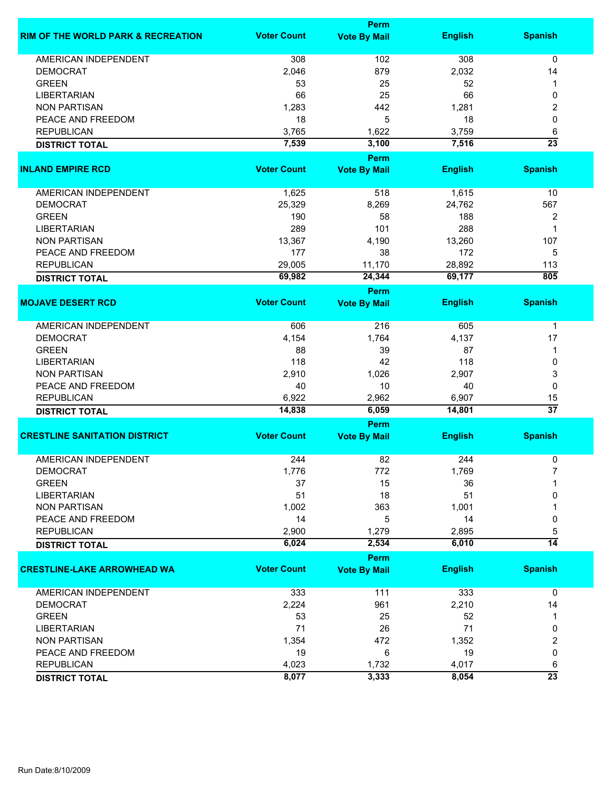|                                               | Perm               |                                    |                 |                       |
|-----------------------------------------------|--------------------|------------------------------------|-----------------|-----------------------|
| <b>RIM OF THE WORLD PARK &amp; RECREATION</b> | <b>Voter Count</b> | <b>Vote By Mail</b>                | <b>English</b>  | <b>Spanish</b>        |
| <b>AMERICAN INDEPENDENT</b>                   | 308                | 102                                | 308             | 0                     |
| <b>DEMOCRAT</b>                               | 2,046              | 879                                | 2,032           | 14                    |
| <b>GREEN</b>                                  | 53                 | 25                                 | 52              | 1                     |
| <b>LIBERTARIAN</b>                            | 66                 | 25                                 | 66              | 0                     |
| <b>NON PARTISAN</b>                           | 1,283              | 442                                | 1,281           |                       |
|                                               |                    |                                    |                 | 2                     |
| PEACE AND FREEDOM                             | 18                 | 5                                  | 18              | 0                     |
| <b>REPUBLICAN</b>                             | 3,765              | 1,622                              | 3,759           | 6                     |
| <b>DISTRICT TOTAL</b>                         | 7,539              | 3,100                              | 7,516           | $\overline{23}$       |
| <b>INLAND EMPIRE RCD</b>                      | <b>Voter Count</b> | Perm<br><b>Vote By Mail</b>        | <b>English</b>  | <b>Spanish</b>        |
|                                               |                    |                                    |                 |                       |
| AMERICAN INDEPENDENT                          | 1,625              | 518                                | 1,615           | 10                    |
| <b>DEMOCRAT</b>                               | 25,329             | 8,269                              | 24,762          | 567                   |
| <b>GREEN</b>                                  | 190                | 58                                 | 188             | 2                     |
| <b>LIBERTARIAN</b>                            | 289                | 101                                | 288             | 1                     |
| <b>NON PARTISAN</b>                           | 13,367             | 4,190                              | 13,260          | 107                   |
| PEACE AND FREEDOM                             | 177                | 38                                 | 172             | 5                     |
|                                               |                    |                                    |                 |                       |
| <b>REPUBLICAN</b>                             | 29,005             | 11,170                             | 28,892          | 113                   |
| <b>DISTRICT TOTAL</b>                         | 69,982             | 24,344                             | 69,177          | 805                   |
| <b>MOJAVE DESERT RCD</b>                      | <b>Voter Count</b> | <b>Perm</b><br><b>Vote By Mail</b> | <b>English</b>  | <b>Spanish</b>        |
|                                               |                    |                                    |                 |                       |
| <b>AMERICAN INDEPENDENT</b>                   | 606                | 216                                | 605             | 1                     |
| <b>DEMOCRAT</b>                               | 4,154              | 1,764                              | 4,137           | 17                    |
| <b>GREEN</b>                                  | 88                 | 39                                 | 87              | 1                     |
| <b>LIBERTARIAN</b>                            | 118                | 42                                 | 118             | 0                     |
| <b>NON PARTISAN</b>                           | 2,910              | 1,026                              | 2,907           | 3                     |
| PEACE AND FREEDOM                             | 40                 | 10                                 | 40              | 0                     |
|                                               |                    |                                    |                 |                       |
| <b>REPUBLICAN</b>                             | 6,922<br>14,838    | 2,962<br>6,059                     | 6,907<br>14,801 | 15<br>$\overline{37}$ |
| <b>DISTRICT TOTAL</b>                         |                    | Perm                               |                 |                       |
| <b>CRESTLINE SANITATION DISTRICT</b>          | <b>Voter Count</b> | <b>Vote By Mail</b>                | <b>English</b>  | <b>Spanish</b>        |
|                                               |                    |                                    |                 |                       |
| <b>AMERICAN INDEPENDENT</b>                   | 244                | 82                                 | 244             | 0                     |
| <b>DEMOCRAT</b>                               | 1,776              | 772                                | 1,769           |                       |
| <b>GREEN</b>                                  | 37                 | 15                                 | 36              |                       |
| <b>LIBERTARIAN</b>                            | 51                 | 18                                 | 51              | 0                     |
| <b>NON PARTISAN</b>                           | 1,002              | 363                                | 1,001           |                       |
| PEACE AND FREEDOM                             | 14                 | 5                                  | 14              | 0                     |
| <b>REPUBLICAN</b>                             | 2,900              | 1,279                              | 2,895           | 5                     |
| <b>DISTRICT TOTAL</b>                         | 6,024              | 2,534                              | 6,010           | $\overline{14}$       |
|                                               |                    | <b>Perm</b>                        |                 |                       |
| <b>CRESTLINE-LAKE ARROWHEAD WA</b>            | <b>Voter Count</b> | <b>Vote By Mail</b>                | <b>English</b>  | <b>Spanish</b>        |
| AMERICAN INDEPENDENT                          | 333                | 111                                | 333             | 0                     |
| <b>DEMOCRAT</b>                               | 2,224              | 961                                | 2,210           | 14                    |
| <b>GREEN</b>                                  | 53                 | 25                                 | 52              | 1                     |
| <b>LIBERTARIAN</b>                            | 71                 | 26                                 | 71              | 0                     |
| <b>NON PARTISAN</b>                           | 1,354              | 472                                | 1,352           | 2                     |
| PEACE AND FREEDOM                             | 19                 | 6                                  | 19              | 0                     |
|                                               |                    |                                    |                 |                       |
| <b>REPUBLICAN</b>                             | 4,023              | 1,732                              | 4,017           | 6                     |
| <b>DISTRICT TOTAL</b>                         | 8,077              | 3,333                              | 8,054           | $\overline{23}$       |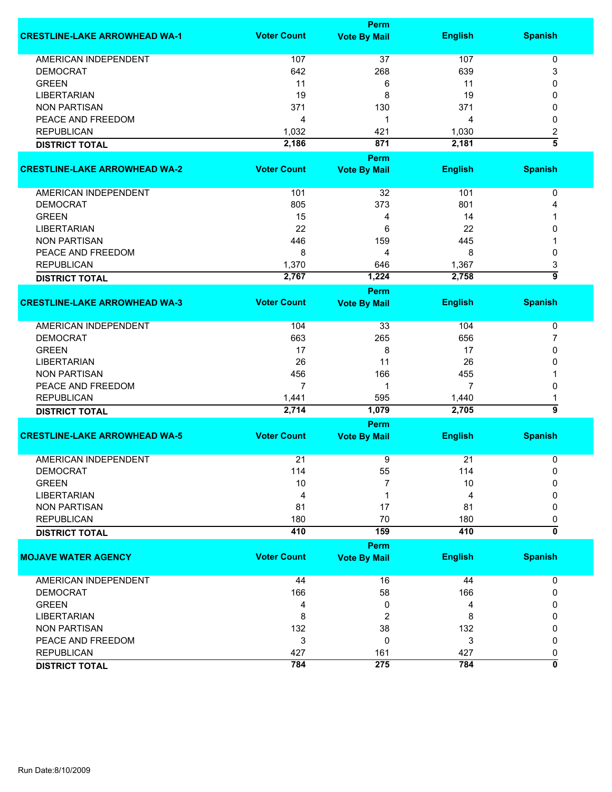|                                      |                    | Perm                |                |                           |
|--------------------------------------|--------------------|---------------------|----------------|---------------------------|
| <b>CRESTLINE-LAKE ARROWHEAD WA-1</b> | <b>Voter Count</b> | <b>Vote By Mail</b> | <b>English</b> | <b>Spanish</b>            |
| AMERICAN INDEPENDENT                 | 107                | 37                  | 107            | 0                         |
| <b>DEMOCRAT</b>                      | 642                | 268                 | 639            | 3                         |
| <b>GREEN</b>                         | 11                 | 6                   | 11             | 0                         |
| <b>LIBERTARIAN</b>                   | 19                 | 8                   | 19             | 0                         |
| <b>NON PARTISAN</b>                  | 371                | 130                 | 371            | 0                         |
| PEACE AND FREEDOM                    |                    | 1                   |                | 0                         |
|                                      | 4                  |                     | 4              |                           |
| <b>REPUBLICAN</b>                    | 1,032              | 421                 | 1,030          | 2<br>$\overline{\bf{5}}$  |
| <b>DISTRICT TOTAL</b>                | 2,186              | 871                 | 2,181          |                           |
|                                      |                    | Perm                |                |                           |
| <b>CRESTLINE-LAKE ARROWHEAD WA-2</b> | <b>Voter Count</b> | <b>Vote By Mail</b> | <b>English</b> | <b>Spanish</b>            |
| AMERICAN INDEPENDENT                 | 101                | 32                  | 101            | 0                         |
| <b>DEMOCRAT</b>                      | 805                | 373                 | 801            | 4                         |
| <b>GREEN</b>                         | 15                 | 4                   | 14             |                           |
| <b>LIBERTARIAN</b>                   | 22                 | 6                   | 22             | 0                         |
| <b>NON PARTISAN</b>                  | 446                | 159                 | 445            |                           |
| PEACE AND FREEDOM                    | 8                  | 4                   | 8              | 0                         |
|                                      |                    |                     |                |                           |
| <b>REPUBLICAN</b>                    | 1,370              | 646                 | 1,367          | 3<br>$\overline{9}$       |
| <b>DISTRICT TOTAL</b>                | 2,767              | 1,224<br>Perm       | 2,758          |                           |
| <b>CRESTLINE-LAKE ARROWHEAD WA-3</b> | <b>Voter Count</b> | <b>Vote By Mail</b> | <b>English</b> | <b>Spanish</b>            |
|                                      |                    |                     |                |                           |
| AMERICAN INDEPENDENT                 | 104                | 33                  | 104            | 0                         |
| <b>DEMOCRAT</b>                      | 663                | 265                 | 656            | 7                         |
| <b>GREEN</b>                         | 17                 | 8                   | 17             | 0                         |
| <b>LIBERTARIAN</b>                   | 26                 | 11                  | 26             | 0                         |
| <b>NON PARTISAN</b>                  | 456                | 166                 | 455            |                           |
| PEACE AND FREEDOM                    | 7                  | 1                   | 7              | 0                         |
| <b>REPUBLICAN</b>                    | 1,441              | 595                 | 1,440          | 1                         |
| <b>DISTRICT TOTAL</b>                | 2,714              | 1,079               | 2,705          | 5                         |
|                                      |                    | <b>Perm</b>         |                |                           |
| <b>CRESTLINE-LAKE ARROWHEAD WA-5</b> | <b>Voter Count</b> | <b>Vote By Mail</b> | <b>English</b> | <b>Spanish</b>            |
| <b>AMERICAN INDEPENDENT</b>          | 21                 | 9                   | 21             | 0                         |
| <b>DEMOCRAT</b>                      | 114                | 55                  | 114            | 0                         |
| <b>GREEN</b>                         | 10                 | 7                   | 10             | O                         |
| <b>LIBERTARIAN</b>                   | 4                  |                     | 4              | 0                         |
|                                      |                    |                     |                |                           |
| <b>NON PARTISAN</b>                  | 81                 | 17                  | 81             | 0                         |
| <b>REPUBLICAN</b>                    | 180                | 70                  | 180            | 0                         |
| <b>DISTRICT TOTAL</b>                | 410                | 159                 | 410            | $\overline{\mathfrak{o}}$ |
|                                      |                    | Perm                |                |                           |
| <b>MOJAVE WATER AGENCY</b>           | <b>Voter Count</b> | <b>Vote By Mail</b> | <b>English</b> | <b>Spanish</b>            |
| <b>AMERICAN INDEPENDENT</b>          | 44                 | 16                  | 44             | 0                         |
| <b>DEMOCRAT</b>                      | 166                | 58                  | 166            | 0                         |
| <b>GREEN</b>                         | 4                  | 0                   | 4              | 0                         |
| <b>LIBERTARIAN</b>                   | 8                  |                     | 8              | 0                         |
|                                      |                    | 2                   |                |                           |
| <b>NON PARTISAN</b>                  | 132                | 38                  | 132            | 0                         |
| PEACE AND FREEDOM                    | 3                  | 0                   | 3              | 0                         |
| <b>REPUBLICAN</b>                    | 427                | 161                 | 427            | 0                         |
| <b>DISTRICT TOTAL</b>                | 784                | 275                 | 784            | 0                         |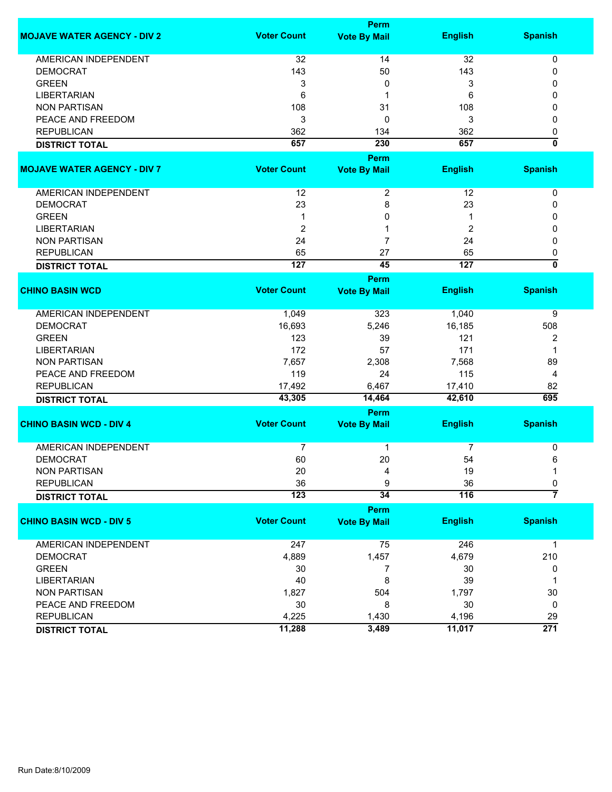|                                    | <b>Perm</b>        |                     |                  |                           |  |
|------------------------------------|--------------------|---------------------|------------------|---------------------------|--|
| <b>MOJAVE WATER AGENCY - DIV 2</b> | <b>Voter Count</b> | <b>Vote By Mail</b> | <b>English</b>   | <b>Spanish</b>            |  |
| <b>AMERICAN INDEPENDENT</b>        | 32                 | 14                  | 32               | 0                         |  |
| <b>DEMOCRAT</b>                    | 143                | 50                  | 143              | 0                         |  |
| <b>GREEN</b>                       | 3                  | 0                   | 3                | 0                         |  |
| <b>LIBERTARIAN</b>                 | 6                  | 1                   | 6                | 0                         |  |
| <b>NON PARTISAN</b>                | 108                | 31                  | 108              | 0                         |  |
| PEACE AND FREEDOM                  | 3                  | 0                   | 3                | 0                         |  |
| <b>REPUBLICAN</b>                  | 362                | 134                 | 362              | 0                         |  |
| <b>DISTRICT TOTAL</b>              | 657                | 230                 | 657              | $\overline{\mathbf{0}}$   |  |
|                                    |                    | Perm                |                  |                           |  |
| <b>MOJAVE WATER AGENCY - DIV 7</b> | <b>Voter Count</b> | <b>Vote By Mail</b> | <b>English</b>   | <b>Spanish</b>            |  |
| AMERICAN INDEPENDENT               | 12                 | 2                   | 12               | 0                         |  |
| <b>DEMOCRAT</b>                    | 23                 | 8                   | 23               | 0                         |  |
| <b>GREEN</b>                       | 1                  | 0                   | -1               | 0                         |  |
| <b>LIBERTARIAN</b>                 | $\overline{c}$     | 1                   | 2                | 0                         |  |
| <b>NON PARTISAN</b>                | 24                 | $\overline{7}$      | 24               | 0                         |  |
| <b>REPUBLICAN</b>                  | 65                 | 27                  | 65               | 0                         |  |
| <b>DISTRICT TOTAL</b>              | 127                | 45                  | 127              | $\overline{\mathfrak{o}}$ |  |
|                                    |                    | Perm                |                  |                           |  |
| <b>CHINO BASIN WCD</b>             | <b>Voter Count</b> | <b>Vote By Mail</b> | <b>English</b>   | <b>Spanish</b>            |  |
|                                    |                    |                     |                  |                           |  |
| <b>AMERICAN INDEPENDENT</b>        | 1,049              | 323                 | 1,040            | 9                         |  |
| <b>DEMOCRAT</b>                    | 16,693             | 5,246               | 16,185           | 508                       |  |
| <b>GREEN</b>                       | 123                | 39                  | 121              | 2                         |  |
| <b>LIBERTARIAN</b>                 | 172                | 57                  | 171              | 1                         |  |
| <b>NON PARTISAN</b>                | 7,657              | 2,308               | 7,568            | 89                        |  |
| PEACE AND FREEDOM                  | 119                | 24                  | 115              | 4                         |  |
| <b>REPUBLICAN</b>                  | 17,492             | 6,467               | 17,410           | 82                        |  |
| <b>DISTRICT TOTAL</b>              | 43,305             | 14,464              | 42,610           | 695                       |  |
|                                    |                    | Perm                |                  |                           |  |
| <b>CHINO BASIN WCD - DIV 4</b>     | <b>Voter Count</b> | <b>Vote By Mail</b> | <b>English</b>   | <b>Spanish</b>            |  |
| <b>AMERICAN INDEPENDENT</b>        | 7                  | 1                   | 7                | 0                         |  |
| <b>DEMOCRAT</b>                    | 60                 | 20                  | 54               | 6                         |  |
| <b>NON PARTISAN</b>                | 20                 | 4                   | 19               | 1                         |  |
| <b>REPUBLICAN</b>                  | 36                 | 9                   | 36               | 0                         |  |
| <b>DISTRICT TOTAL</b>              | 123                | 34                  | $\overline{116}$ | $\overline{7}$            |  |
|                                    |                    | Perm                |                  |                           |  |
| <b>CHINO BASIN WCD - DIV 5</b>     | <b>Voter Count</b> | <b>Vote By Mail</b> | <b>English</b>   | <b>Spanish</b>            |  |
|                                    |                    |                     |                  |                           |  |
| AMERICAN INDEPENDENT               | 247                | 75                  | 246              | $\mathbf{1}$              |  |
| <b>DEMOCRAT</b>                    | 4,889              | 1,457               | 4,679            | 210                       |  |
| <b>GREEN</b>                       | 30                 | 7                   | 30               | 0                         |  |
| <b>LIBERTARIAN</b>                 | 40                 | 8                   | 39               | 1                         |  |
| <b>NON PARTISAN</b>                | 1,827              | 504                 | 1,797            | $30\,$                    |  |
| PEACE AND FREEDOM                  | 30                 | 8                   | 30               | 0                         |  |
| <b>REPUBLICAN</b>                  | 4,225              | 1,430               | 4,196            | 29                        |  |
| <b>DISTRICT TOTAL</b>              | 11,288             | 3,489               | 11,017           | $\overline{271}$          |  |
|                                    |                    |                     |                  |                           |  |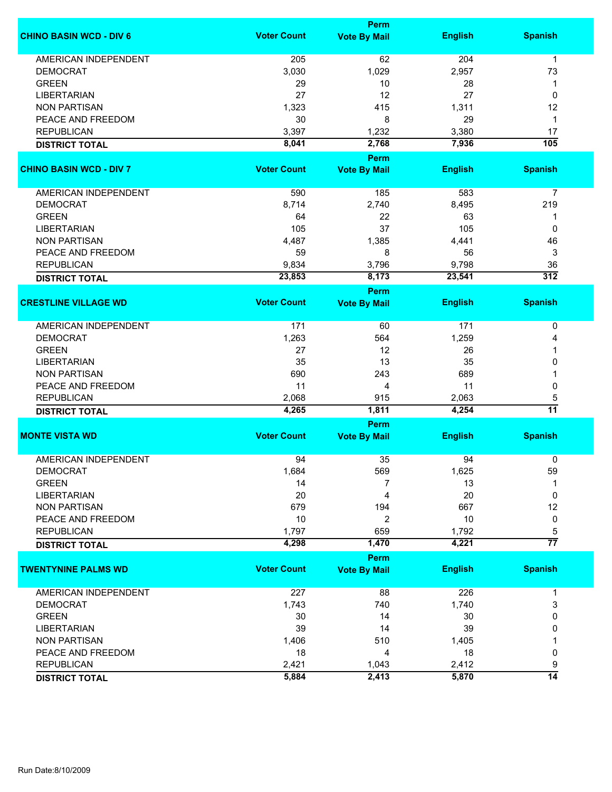|                                | Perm               |                             |                |                  |  |  |
|--------------------------------|--------------------|-----------------------------|----------------|------------------|--|--|
| <b>CHINO BASIN WCD - DIV 6</b> | <b>Voter Count</b> | <b>Vote By Mail</b>         | <b>English</b> | <b>Spanish</b>   |  |  |
| <b>AMERICAN INDEPENDENT</b>    | 205                | 62                          | 204            | $\mathbf{1}$     |  |  |
| <b>DEMOCRAT</b>                | 3,030              | 1,029                       | 2,957          | 73               |  |  |
| <b>GREEN</b>                   | 29                 | 10                          | 28             | 1                |  |  |
| <b>LIBERTARIAN</b>             | 27                 | 12                          | 27             | 0                |  |  |
| <b>NON PARTISAN</b>            | 1,323              | 415                         | 1,311          | 12               |  |  |
|                                |                    |                             |                |                  |  |  |
| PEACE AND FREEDOM              | 30                 | 8                           | 29             | 1                |  |  |
| <b>REPUBLICAN</b>              | 3,397              | 1,232                       | 3,380          | 17               |  |  |
| <b>DISTRICT TOTAL</b>          | 8,041              | 2,768                       | 7,936          | $\overline{105}$ |  |  |
| <b>CHINO BASIN WCD - DIV 7</b> | <b>Voter Count</b> | Perm<br><b>Vote By Mail</b> | <b>English</b> | <b>Spanish</b>   |  |  |
|                                |                    |                             |                |                  |  |  |
| AMERICAN INDEPENDENT           | 590                | 185                         | 583            | 7                |  |  |
| <b>DEMOCRAT</b>                | 8,714              | 2,740                       | 8,495          | 219              |  |  |
| <b>GREEN</b>                   | 64                 | 22                          | 63             | 1                |  |  |
| <b>LIBERTARIAN</b>             | 105                | 37                          | 105            | 0                |  |  |
| <b>NON PARTISAN</b>            | 4,487              | 1,385                       | 4,441          | 46               |  |  |
| PEACE AND FREEDOM              | 59                 | 8                           | 56             | 3                |  |  |
| <b>REPUBLICAN</b>              | 9,834              | 3,796                       | 9,798          | 36               |  |  |
|                                | 23,853             | 8,173                       | 23,541         | $\overline{312}$ |  |  |
| <b>DISTRICT TOTAL</b>          |                    | Perm                        |                |                  |  |  |
| <b>CRESTLINE VILLAGE WD</b>    | <b>Voter Count</b> | <b>Vote By Mail</b>         | <b>English</b> | <b>Spanish</b>   |  |  |
|                                |                    |                             |                |                  |  |  |
| <b>AMERICAN INDEPENDENT</b>    | 171                | 60                          | 171            | 0                |  |  |
| <b>DEMOCRAT</b>                | 1,263              | 564                         | 1,259          | 4                |  |  |
| <b>GREEN</b>                   | 27                 | 12                          | 26             |                  |  |  |
| <b>LIBERTARIAN</b>             | 35                 | 13                          | 35             | 0                |  |  |
| <b>NON PARTISAN</b>            | 690                | 243                         | 689            |                  |  |  |
| PEACE AND FREEDOM              | 11                 | 4                           | 11             | 0                |  |  |
| <b>REPUBLICAN</b>              | 2,068              | 915                         | 2,063          | 5                |  |  |
|                                | 4,265              | 1,811                       | 4,254          | $\overline{11}$  |  |  |
| <b>DISTRICT TOTAL</b>          |                    | Perm                        |                |                  |  |  |
| <b>MONTE VISTA WD</b>          | <b>Voter Count</b> | <b>Vote By Mail</b>         | <b>English</b> | <b>Spanish</b>   |  |  |
|                                |                    |                             |                |                  |  |  |
| <b>AMERICAN INDEPENDENT</b>    | 94                 | 35                          | 94             | 0                |  |  |
| <b>DEMOCRAT</b>                | 1,684              | 569                         | 1,625          | 59               |  |  |
| <b>GREEN</b>                   | 14                 | 7                           | 13             | 1                |  |  |
| <b>LIBERTARIAN</b>             | 20                 | 4                           | 20             | 0                |  |  |
| <b>NON PARTISAN</b>            | 679                | 194                         | 667            | 12               |  |  |
| PEACE AND FREEDOM              | 10                 | 2                           | 10             | 0                |  |  |
| <b>REPUBLICAN</b>              | 1,797              | 659                         | 1,792          | 5                |  |  |
| <b>DISTRICT TOTAL</b>          | 4,298              | 1,470                       | 4,221          | $\overline{77}$  |  |  |
|                                |                    | Perm                        |                |                  |  |  |
| <b>TWENTYNINE PALMS WD</b>     | <b>Voter Count</b> | <b>Vote By Mail</b>         | <b>English</b> | <b>Spanish</b>   |  |  |
| AMERICAN INDEPENDENT           | 227                | 88                          | 226            | $\mathbf{1}$     |  |  |
| <b>DEMOCRAT</b>                | 1,743              | 740                         | 1,740          | 3                |  |  |
| <b>GREEN</b>                   | 30                 | 14                          | 30             | 0                |  |  |
| <b>LIBERTARIAN</b>             | 39                 | 14                          | 39             | 0                |  |  |
| <b>NON PARTISAN</b>            | 1,406              | 510                         | 1,405          |                  |  |  |
| PEACE AND FREEDOM              | 18                 | 4                           | 18             | 0                |  |  |
|                                |                    |                             |                |                  |  |  |
| <b>REPUBLICAN</b>              | 2,421              | 1,043                       | 2,412          | 9                |  |  |
| <b>DISTRICT TOTAL</b>          | 5,884              | 2,413                       | 5,870          | $\overline{14}$  |  |  |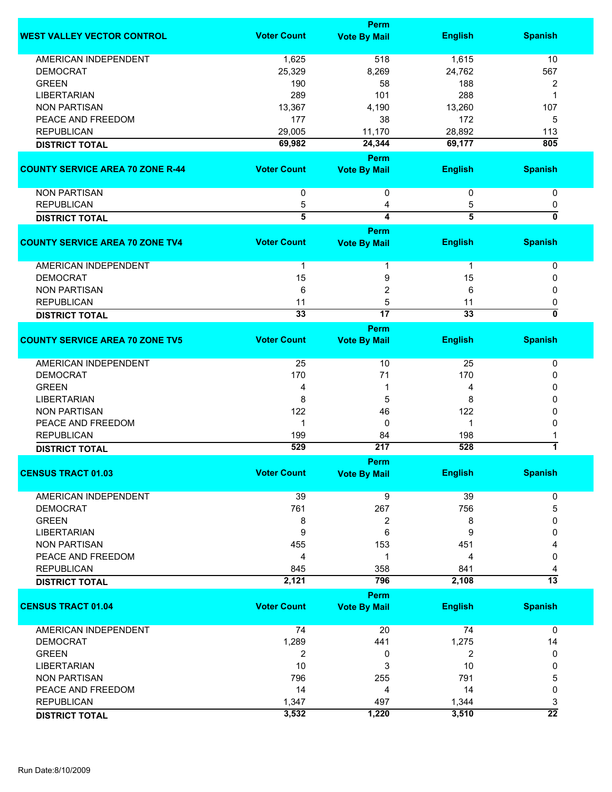|                                         |                    | Perm                               |                |                 |
|-----------------------------------------|--------------------|------------------------------------|----------------|-----------------|
| <b>WEST VALLEY VECTOR CONTROL</b>       | <b>Voter Count</b> | <b>Vote By Mail</b>                | <b>English</b> | <b>Spanish</b>  |
| <b>AMERICAN INDEPENDENT</b>             | 1,625              | 518                                | 1,615          | 10              |
| <b>DEMOCRAT</b>                         | 25,329             | 8,269                              | 24,762         | 567             |
| <b>GREEN</b>                            | 190                | 58                                 | 188            | 2               |
| <b>LIBERTARIAN</b>                      | 289                | 101                                | 288            | -1              |
| <b>NON PARTISAN</b>                     | 13,367             | 4,190                              | 13,260         | 107             |
|                                         |                    |                                    |                |                 |
| PEACE AND FREEDOM                       | 177                | 38                                 | 172            | 5               |
| <b>REPUBLICAN</b>                       | 29,005             | 11,170                             | 28,892         | 113             |
| <b>DISTRICT TOTAL</b>                   | 69,982             | 24,344                             | 69,177         | 805             |
| <b>COUNTY SERVICE AREA 70 ZONE R-44</b> | <b>Voter Count</b> | <b>Perm</b><br><b>Vote By Mail</b> | <b>English</b> | <b>Spanish</b>  |
| <b>NON PARTISAN</b>                     |                    |                                    |                |                 |
|                                         | $\mathbf 0$        | 0                                  | 0              | 0               |
| <b>REPUBLICAN</b>                       | 5                  | 4                                  | 5              | 0               |
| <b>DISTRICT TOTAL</b>                   | 5                  | $\overline{\mathbf{4}}$            | $\overline{5}$ | 0               |
|                                         |                    | Perm                               |                |                 |
| <b>COUNTY SERVICE AREA 70 ZONE TV4</b>  | <b>Voter Count</b> | <b>Vote By Mail</b>                | <b>English</b> | <b>Spanish</b>  |
| <b>AMERICAN INDEPENDENT</b>             | 1                  | 1                                  | $\mathbf 1$    | 0               |
| <b>DEMOCRAT</b>                         | 15                 | 9                                  | 15             | 0               |
| <b>NON PARTISAN</b>                     | 6                  | $\overline{c}$                     | 6              | 0               |
| <b>REPUBLICAN</b>                       | 11                 | 5                                  | 11             | 0               |
| <b>DISTRICT TOTAL</b>                   | 33                 | $\overline{17}$                    | 33             | 0               |
|                                         |                    | Perm                               |                |                 |
| <b>COUNTY SERVICE AREA 70 ZONE TV5</b>  | <b>Voter Count</b> | <b>Vote By Mail</b>                | <b>English</b> | <b>Spanish</b>  |
| <b>AMERICAN INDEPENDENT</b>             | 25                 | 10                                 | 25             | 0               |
| <b>DEMOCRAT</b>                         | 170                | 71                                 | 170            | 0               |
| <b>GREEN</b>                            | 4                  | 1                                  | 4              | 0               |
| <b>LIBERTARIAN</b>                      | 8                  | 5                                  | 8              | 0               |
| <b>NON PARTISAN</b>                     | 122                | 46                                 | 122            | 0               |
| PEACE AND FREEDOM                       | $\mathbf 1$        | 0                                  | 1              | 0               |
| <b>REPUBLICAN</b>                       | 199                | 84                                 | 198            |                 |
|                                         | 529                | 217                                | 528            | $\overline{1}$  |
| <b>DISTRICT TOTAL</b>                   |                    |                                    |                |                 |
| <b>CENSUS TRACT 01.03</b>               | <b>Voter Count</b> | Perm                               | <b>English</b> | <b>Spanish</b>  |
|                                         |                    | <b>Vote By Mail</b>                |                |                 |
| <b>AMERICAN INDEPENDENT</b>             | 39                 | 9                                  | 39             | 0               |
| <b>DEMOCRAT</b>                         | 761                | 267                                | 756            | 5               |
| <b>GREEN</b>                            | 8                  | 2                                  | 8              | 0               |
| <b>LIBERTARIAN</b>                      | 9                  | 6                                  | 9              | 0               |
| <b>NON PARTISAN</b>                     | 455                | 153                                | 451            |                 |
| PEACE AND FREEDOM                       | 4                  | 1                                  | 4              | 0               |
| <b>REPUBLICAN</b>                       | 845                | 358                                | 841            | 4               |
| <b>DISTRICT TOTAL</b>                   | 2,121              | 796                                | 2,108          | $\overline{13}$ |
|                                         |                    | Perm                               |                |                 |
| <b>CENSUS TRACT 01.04</b>               | <b>Voter Count</b> | <b>Vote By Mail</b>                | <b>English</b> | <b>Spanish</b>  |
|                                         |                    |                                    |                |                 |
| AMERICAN INDEPENDENT                    | 74                 | 20                                 | 74             | $\mathbf 0$     |
| <b>DEMOCRAT</b>                         | 1,289              | 441                                | 1,275          | 14              |
| <b>GREEN</b>                            | 2                  | 0                                  | $\overline{2}$ | 0               |
| <b>LIBERTARIAN</b>                      | 10                 | 3                                  | 10             | 0               |
| <b>NON PARTISAN</b>                     | 796                | 255                                | 791            | 5               |
| PEACE AND FREEDOM                       | 14                 | 4                                  | 14             | 0               |
| <b>REPUBLICAN</b>                       | 1,347              | 497                                | 1,344          | 3               |
| <b>DISTRICT TOTAL</b>                   | 3,532              | 1,220                              | 3,510          | $\overline{22}$ |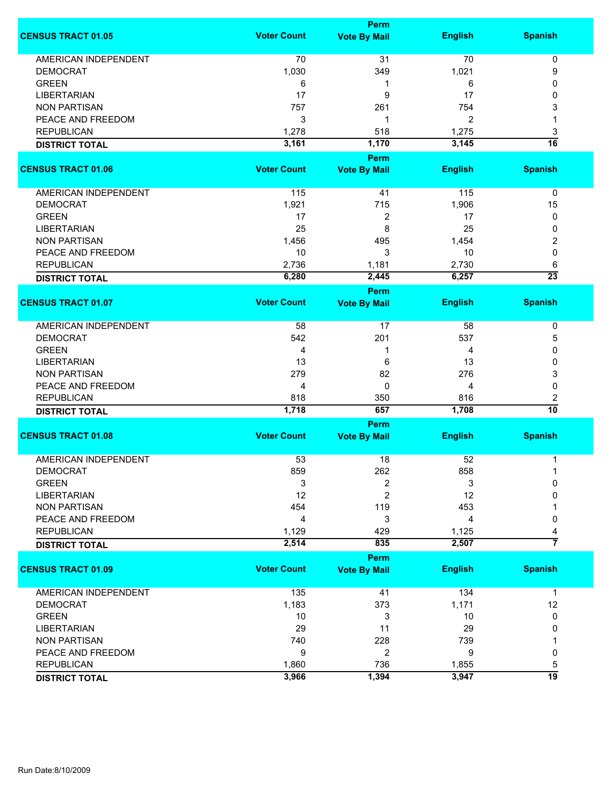|                             | <b>Perm</b>        |                                    |                |                      |  |
|-----------------------------|--------------------|------------------------------------|----------------|----------------------|--|
| <b>CENSUS TRACT 01.05</b>   | <b>Voter Count</b> | <b>Vote By Mail</b>                | <b>English</b> | <b>Spanish</b>       |  |
| <b>AMERICAN INDEPENDENT</b> | 70                 | 31                                 | 70             | 0                    |  |
| <b>DEMOCRAT</b>             | 1,030              | 349                                | 1,021          | 9                    |  |
| <b>GREEN</b>                | 6                  | 1                                  | 6              | 0                    |  |
| <b>LIBERTARIAN</b>          | 17                 | 9                                  | 17             | 0                    |  |
| <b>NON PARTISAN</b>         | 757                | 261                                | 754            | 3                    |  |
|                             |                    | 1                                  |                |                      |  |
| PEACE AND FREEDOM           | 3                  |                                    | 2              | 1                    |  |
| <b>REPUBLICAN</b>           | 1,278              | 518                                | 1,275          | 3                    |  |
| <b>DISTRICT TOTAL</b>       | 3,161              | 1,170                              | 3,145          | 16                   |  |
| <b>CENSUS TRACT 01.06</b>   | <b>Voter Count</b> | <b>Perm</b><br><b>Vote By Mail</b> | <b>English</b> | <b>Spanish</b>       |  |
| AMERICAN INDEPENDENT        | 115                | 41                                 | 115            | 0                    |  |
| <b>DEMOCRAT</b>             | 1,921              | 715                                | 1,906          | 15                   |  |
| <b>GREEN</b>                | 17                 | 2                                  | 17             | 0                    |  |
| LIBERTARIAN                 | 25                 | 8                                  | 25             | 0                    |  |
| <b>NON PARTISAN</b>         | 1,456              | 495                                | 1,454          | 2                    |  |
| PEACE AND FREEDOM           | 10                 | 3                                  | 10             | 0                    |  |
| <b>REPUBLICAN</b>           | 2,736              | 1,181                              | 2,730          | 6                    |  |
|                             | 6,280              | 2,445                              | 6,257          | $\overline{23}$      |  |
| <b>DISTRICT TOTAL</b>       |                    |                                    |                |                      |  |
|                             |                    | <b>Perm</b>                        |                |                      |  |
| <b>CENSUS TRACT 01.07</b>   | <b>Voter Count</b> | <b>Vote By Mail</b>                | <b>English</b> | <b>Spanish</b>       |  |
| AMERICAN INDEPENDENT        | 58                 | 17                                 | 58             | 0                    |  |
| <b>DEMOCRAT</b>             | 542                | 201                                | 537            | 5                    |  |
| <b>GREEN</b>                | 4                  | 1                                  | 4              | 0                    |  |
| <b>LIBERTARIAN</b>          | 13                 | 6                                  | 13             | 0                    |  |
| <b>NON PARTISAN</b>         | 279                | 82                                 | 276            | 3                    |  |
| PEACE AND FREEDOM           | 4                  | $\mathbf 0$                        | 4              | 0                    |  |
|                             |                    |                                    |                |                      |  |
| <b>REPUBLICAN</b>           | 818                | 350                                | 816            | 2<br>$\overline{10}$ |  |
| <b>DISTRICT TOTAL</b>       | 1,718              | 657                                | 1,708          |                      |  |
|                             |                    | Perm                               |                |                      |  |
| <b>CENSUS TRACT 01.08</b>   | <b>Voter Count</b> | <b>Vote By Mail</b>                | <b>English</b> | <b>Spanish</b>       |  |
| <b>AMERICAN INDEPENDENT</b> | 53                 | 18                                 | 52             | 1                    |  |
| DEMOCRAT                    | 859                | 262                                | 858            |                      |  |
| <b>GREEN</b>                | 3                  | 2                                  | 3              | 0                    |  |
| <b>LIBERTARIAN</b>          | 12                 | $\overline{c}$                     | 12             | 0                    |  |
| <b>NON PARTISAN</b>         | 454                | 119                                | 453            |                      |  |
| PEACE AND FREEDOM           | 4                  | 3                                  | 4              | 0                    |  |
| <b>REPUBLICAN</b>           | 1,129              | 429                                | 1,125          | 4                    |  |
|                             | 2,514              | 835                                | 2,507          | 7                    |  |
| <b>DISTRICT TOTAL</b>       |                    |                                    |                |                      |  |
|                             |                    | <b>Perm</b>                        |                |                      |  |
| <b>CENSUS TRACT 01.09</b>   | <b>Voter Count</b> | <b>Vote By Mail</b>                | <b>English</b> | <b>Spanish</b>       |  |
| <b>AMERICAN INDEPENDENT</b> | 135                | 41                                 | 134            | $\mathbf 1$          |  |
| <b>DEMOCRAT</b>             | 1,183              | 373                                | 1,171          | 12                   |  |
| <b>GREEN</b>                | 10                 | 3                                  | 10             | 0                    |  |
| <b>LIBERTARIAN</b>          | 29                 | 11                                 | 29             | 0                    |  |
| <b>NON PARTISAN</b>         | 740                | 228                                | 739            |                      |  |
| PEACE AND FREEDOM           | 9                  | 2                                  | 9              | 0                    |  |
| <b>REPUBLICAN</b>           | 1,860              | 736                                | 1,855          | 5                    |  |
| <b>DISTRICT TOTAL</b>       | 3,966              | 1,394                              | 3,947          | 19                   |  |
|                             |                    |                                    |                |                      |  |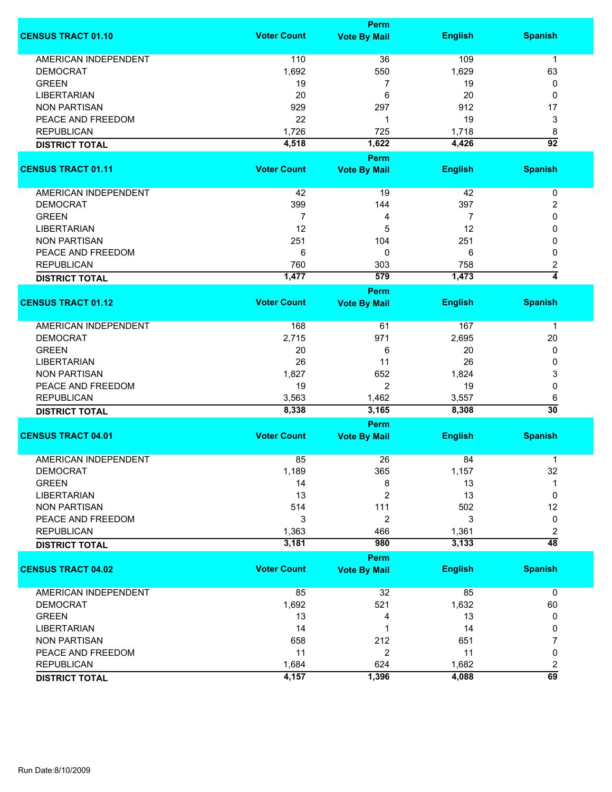|                             | Perm               |                     |                |                                            |  |
|-----------------------------|--------------------|---------------------|----------------|--------------------------------------------|--|
| <b>CENSUS TRACT 01.10</b>   | <b>Voter Count</b> | <b>Vote By Mail</b> | <b>English</b> | <b>Spanish</b>                             |  |
| <b>AMERICAN INDEPENDENT</b> | 110                | 36                  | 109            | 1                                          |  |
| <b>DEMOCRAT</b>             | 1,692              | 550                 | 1,629          | 63                                         |  |
| <b>GREEN</b>                | 19                 | 7                   | 19             | 0                                          |  |
| <b>LIBERTARIAN</b>          | 20                 | 6                   | 20             | 0                                          |  |
| <b>NON PARTISAN</b>         | 929                | 297                 | 912            |                                            |  |
|                             |                    |                     |                | 17                                         |  |
| PEACE AND FREEDOM           | 22                 | 1                   | 19             | 3                                          |  |
| <b>REPUBLICAN</b>           | 1,726              | 725                 | 1,718          | 8                                          |  |
| <b>DISTRICT TOTAL</b>       | 4,518              | 1,622               | 4,426          | $\overline{92}$                            |  |
|                             |                    | <b>Perm</b>         |                |                                            |  |
| <b>CENSUS TRACT 01.11</b>   | <b>Voter Count</b> | <b>Vote By Mail</b> | <b>English</b> | <b>Spanish</b>                             |  |
| AMERICAN INDEPENDENT        | 42                 | 19                  | 42             | 0                                          |  |
| <b>DEMOCRAT</b>             | 399                | 144                 | 397            | 2                                          |  |
| <b>GREEN</b>                | $\overline{7}$     | 4                   | $\overline{7}$ | 0                                          |  |
| <b>LIBERTARIAN</b>          | 12                 | 5                   | 12             | 0                                          |  |
| <b>NON PARTISAN</b>         | 251                | 104                 | 251            | 0                                          |  |
| PEACE AND FREEDOM           |                    | 0                   |                |                                            |  |
|                             | 6                  |                     | 6              | 0                                          |  |
| <b>REPUBLICAN</b>           | 760                | 303                 | 758            | 2                                          |  |
| <b>DISTRICT TOTAL</b>       | 1,477              | 579                 | 1,473          | $\overline{4}$                             |  |
|                             |                    | Perm                |                |                                            |  |
| <b>CENSUS TRACT 01.12</b>   | <b>Voter Count</b> | <b>Vote By Mail</b> | <b>English</b> | <b>Spanish</b>                             |  |
| <b>AMERICAN INDEPENDENT</b> | 168                | 61                  | 167            | $\mathbf 1$                                |  |
| <b>DEMOCRAT</b>             | 2,715              | 971                 | 2,695          | 20                                         |  |
| <b>GREEN</b>                | 20                 | 6                   | 20             | 0                                          |  |
| <b>LIBERTARIAN</b>          | 26                 | 11                  | 26             | 0                                          |  |
| <b>NON PARTISAN</b>         | 1,827              | 652                 | 1,824          | 3                                          |  |
| PEACE AND FREEDOM           | 19                 | $\overline{2}$      | 19             | 0                                          |  |
|                             |                    |                     |                |                                            |  |
| <b>REPUBLICAN</b>           | 3,563              | 1,462               | 3,557          | 6<br>$\overline{30}$                       |  |
| <b>DISTRICT TOTAL</b>       | 8,338              | 3,165               | 8,308          |                                            |  |
| <b>CENSUS TRACT 04.01</b>   | <b>Voter Count</b> | Perm                |                | <b>Spanish</b>                             |  |
|                             |                    | <b>Vote By Mail</b> | <b>English</b> |                                            |  |
| <b>AMERICAN INDEPENDENT</b> | 85                 | 26                  | 84             | 1                                          |  |
| <b>DEMOCRAT</b>             | 1,189              | 365                 | 1,157          | 32                                         |  |
| <b>GREEN</b>                | 14                 | 8                   | 13             | 1                                          |  |
| <b>LIBERTARIAN</b>          | 13                 | 2                   | 13             | 0                                          |  |
| <b>NON PARTISAN</b>         | 514                | 111                 | 502            | 12                                         |  |
| PEACE AND FREEDOM           | 3                  | $\overline{c}$      | 3              | 0                                          |  |
| <b>REPUBLICAN</b>           | 1,363              | 466                 | 1,361          | 2                                          |  |
| <b>DISTRICT TOTAL</b>       | 3,181              | 980                 | 3,133          | $\overline{48}$                            |  |
|                             |                    | Perm                |                |                                            |  |
| <b>CENSUS TRACT 04.02</b>   | <b>Voter Count</b> | <b>Vote By Mail</b> | <b>English</b> | <b>Spanish</b>                             |  |
| <b>AMERICAN INDEPENDENT</b> | 85                 | 32                  | 85             | $\mathbf 0$                                |  |
| <b>DEMOCRAT</b>             | 1,692              | 521                 | 1,632          | 60                                         |  |
| <b>GREEN</b>                | 13                 | 4                   | 13             | 0                                          |  |
| <b>LIBERTARIAN</b>          | 14                 | 1                   | 14             | 0                                          |  |
| <b>NON PARTISAN</b>         | 658                | 212                 | 651            | 7                                          |  |
| PEACE AND FREEDOM           | 11                 | 2                   | 11             | 0                                          |  |
|                             |                    |                     |                |                                            |  |
| <b>REPUBLICAN</b>           | 1,684              | 624                 | 1,682          | $\overline{\mathbf{c}}$<br>$\overline{69}$ |  |
| <b>DISTRICT TOTAL</b>       | 4,157              | 1,396               | 4,088          |                                            |  |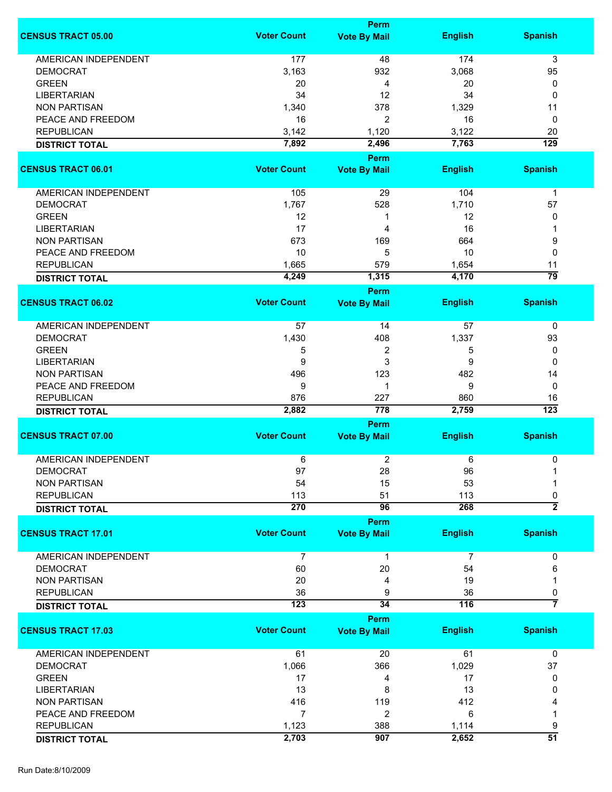|                             |                    | <b>Perm</b>                        |                |                       |
|-----------------------------|--------------------|------------------------------------|----------------|-----------------------|
| <b>CENSUS TRACT 05.00</b>   | <b>Voter Count</b> | <b>Vote By Mail</b>                | <b>English</b> | <b>Spanish</b>        |
| <b>AMERICAN INDEPENDENT</b> | 177                | 48                                 | 174            | 3                     |
| <b>DEMOCRAT</b>             | 3,163              | 932                                | 3,068          | 95                    |
|                             |                    |                                    |                |                       |
| <b>GREEN</b>                | 20                 | 4                                  | 20             | 0                     |
| <b>LIBERTARIAN</b>          | 34                 | 12                                 | 34             | 0                     |
| <b>NON PARTISAN</b>         | 1,340              | 378                                | 1,329          | 11                    |
| PEACE AND FREEDOM           | 16                 | 2                                  | 16             | 0                     |
| <b>REPUBLICAN</b>           | 3,142              | 1,120                              | 3,122          | 20                    |
| <b>DISTRICT TOTAL</b>       | 7,892              | 2,496                              | 7,763          | $\overline{129}$      |
|                             |                    | Perm                               |                |                       |
| <b>CENSUS TRACT 06.01</b>   | <b>Voter Count</b> | <b>Vote By Mail</b>                | <b>English</b> | <b>Spanish</b>        |
| AMERICAN INDEPENDENT        | 105                | 29                                 | 104            | $\mathbf 1$           |
| <b>DEMOCRAT</b>             | 1,767              | 528                                | 1,710          | 57                    |
| <b>GREEN</b>                | 12                 | 1                                  | 12             | 0                     |
| <b>LIBERTARIAN</b>          | 17                 | 4                                  | 16             |                       |
| <b>NON PARTISAN</b>         | 673                | 169                                | 664            | 9                     |
| PEACE AND FREEDOM           | 10                 | 5                                  |                |                       |
|                             |                    |                                    | 10             | 0                     |
| <b>REPUBLICAN</b>           | 1,665              | 579                                | 1,654          | 11<br>$\overline{79}$ |
| <b>DISTRICT TOTAL</b>       | 4,249              | 1,315                              | 4,170          |                       |
| <b>CENSUS TRACT 06.02</b>   | <b>Voter Count</b> | <b>Perm</b>                        | <b>English</b> | <b>Spanish</b>        |
|                             |                    | <b>Vote By Mail</b>                |                |                       |
| AMERICAN INDEPENDENT        | 57                 | 14                                 | 57             | $\pmb{0}$             |
| <b>DEMOCRAT</b>             | 1,430              | 408                                | 1,337          | 93                    |
| <b>GREEN</b>                | 5                  | 2                                  | 5              | 0                     |
| <b>LIBERTARIAN</b>          | 9                  | 3                                  | 9              | 0                     |
| <b>NON PARTISAN</b>         | 496                | 123                                | 482            | 14                    |
|                             |                    |                                    |                |                       |
| PEACE AND FREEDOM           | 9                  | 1                                  | 9              | 0                     |
| <b>REPUBLICAN</b>           | 876                | 227                                | 860            | 16                    |
| <b>DISTRICT TOTAL</b>       | 2,882              | 778                                | 2,759          | $\overline{123}$      |
|                             |                    | Perm                               |                |                       |
| <b>CENSUS TRACT 07.00</b>   | <b>Voter Count</b> | <b>Vote By Mail</b>                | <b>English</b> | <b>Spanish</b>        |
| <b>AMERICAN INDEPENDENT</b> | 6                  | $\overline{c}$                     | $\,6\,$        | 0                     |
| <b>DEMOCRAT</b>             | 97                 | 28                                 | 96             | $\mathbf{1}$          |
| <b>NON PARTISAN</b>         | 54                 | 15                                 | 53             | 1                     |
| <b>REPUBLICAN</b>           | 113                | 51                                 | 113            | 0                     |
| <b>DISTRICT TOTAL</b>       | 270                | 96                                 | 268            | $\overline{2}$        |
|                             |                    | <b>Perm</b>                        |                |                       |
| <b>CENSUS TRACT 17.01</b>   | <b>Voter Count</b> | <b>Vote By Mail</b>                | <b>English</b> | <b>Spanish</b>        |
| <b>AMERICAN INDEPENDENT</b> | 7                  | 1                                  | 7              | 0                     |
| <b>DEMOCRAT</b>             | 60                 | 20                                 | 54             | 6                     |
| <b>NON PARTISAN</b>         | 20                 | 4                                  | 19             |                       |
| <b>REPUBLICAN</b>           | 36                 | 9                                  | 36             | 0                     |
|                             | 123                | 34                                 | 116            | 7                     |
| <b>DISTRICT TOTAL</b>       |                    |                                    |                |                       |
| <b>CENSUS TRACT 17.03</b>   | <b>Voter Count</b> | <b>Perm</b><br><b>Vote By Mail</b> | <b>English</b> | <b>Spanish</b>        |
|                             |                    |                                    |                |                       |
| <b>AMERICAN INDEPENDENT</b> | 61                 | 20                                 | 61             | $\pmb{0}$             |
| <b>DEMOCRAT</b>             | 1,066              | 366                                | 1,029          | 37                    |
| <b>GREEN</b>                | 17                 | 4                                  | 17             | 0                     |
| <b>LIBERTARIAN</b>          | 13                 | 8                                  | 13             | 0                     |
| <b>NON PARTISAN</b>         | 416                | 119                                | 412            |                       |
| PEACE AND FREEDOM           | 7                  | 2                                  | 6              |                       |
| <b>REPUBLICAN</b>           | 1,123              | 388                                | 1,114          | 9                     |
| <b>DISTRICT TOTAL</b>       | 2,703              | 907                                | 2,652          | $\overline{51}$       |
|                             |                    |                                    |                |                       |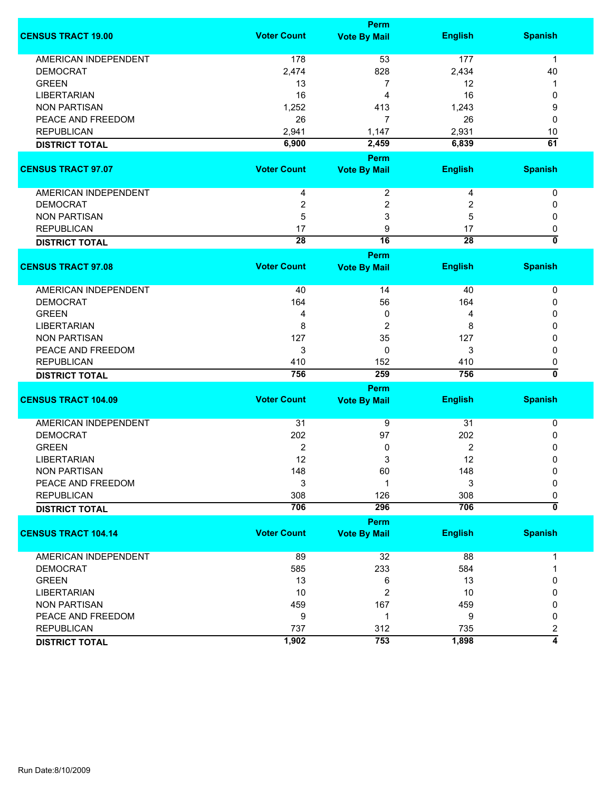|                             |                    | Perm                    |                 |                           |
|-----------------------------|--------------------|-------------------------|-----------------|---------------------------|
| <b>CENSUS TRACT 19.00</b>   | <b>Voter Count</b> | <b>Vote By Mail</b>     | <b>English</b>  | <b>Spanish</b>            |
| <b>AMERICAN INDEPENDENT</b> | 178                | 53                      | 177             | $\mathbf 1$               |
| <b>DEMOCRAT</b>             | 2,474              | 828                     | 2,434           | 40                        |
| <b>GREEN</b>                | 13                 | 7                       | 12              | 1                         |
| <b>LIBERTARIAN</b>          | 16                 | 4                       | 16              | 0                         |
| <b>NON PARTISAN</b>         |                    |                         |                 |                           |
|                             | 1,252              | 413                     | 1,243           | 9                         |
| PEACE AND FREEDOM           | 26                 | $\overline{7}$          | 26              | 0                         |
| <b>REPUBLICAN</b>           | 2,941              | 1,147                   | 2,931           | 10                        |
| <b>DISTRICT TOTAL</b>       | 6,900              | 2,459                   | 6,839           | 61                        |
|                             |                    | Perm                    |                 |                           |
| <b>CENSUS TRACT 97.07</b>   | <b>Voter Count</b> | <b>Vote By Mail</b>     | <b>English</b>  | <b>Spanish</b>            |
| AMERICAN INDEPENDENT        | 4                  | $\overline{\mathbf{c}}$ | 4               | 0                         |
| <b>DEMOCRAT</b>             | 2                  | 2                       | 2               | 0                         |
| <b>NON PARTISAN</b>         | 5                  | 3                       | 5               | 0                         |
| <b>REPUBLICAN</b>           | 17                 | 9                       | 17              | 0                         |
|                             | $\overline{28}$    | 16                      | $\overline{28}$ | $\overline{\mathfrak{o}}$ |
| <b>DISTRICT TOTAL</b>       |                    | Perm                    |                 |                           |
|                             | <b>Voter Count</b> |                         |                 |                           |
| <b>CENSUS TRACT 97.08</b>   |                    | <b>Vote By Mail</b>     | <b>English</b>  | <b>Spanish</b>            |
| AMERICAN INDEPENDENT        | 40                 | 14                      | 40              | 0                         |
| <b>DEMOCRAT</b>             | 164                | 56                      | 164             | 0                         |
| <b>GREEN</b>                | 4                  | 0                       | 4               | 0                         |
| <b>LIBERTARIAN</b>          | 8                  | 2                       | 8               | 0                         |
| <b>NON PARTISAN</b>         | 127                | 35                      | 127             | 0                         |
| PEACE AND FREEDOM           | 3                  | 0                       | 3               | 0                         |
| <b>REPUBLICAN</b>           | 410                | 152                     | 410             | 0                         |
|                             | 756                | 259                     | 756             | $\overline{\mathfrak{o}}$ |
| <b>DISTRICT TOTAL</b>       |                    | <b>Perm</b>             |                 |                           |
|                             | <b>Voter Count</b> |                         |                 |                           |
| <b>CENSUS TRACT 104.09</b>  |                    | <b>Vote By Mail</b>     | <b>English</b>  | <b>Spanish</b>            |
| <b>AMERICAN INDEPENDENT</b> | 31                 | 9                       | 31              | 0                         |
| <b>DEMOCRAT</b>             | 202                | 97                      | 202             | 0                         |
| <b>GREEN</b>                | 2                  | 0                       | 2               | 0                         |
| <b>LIBERTARIAN</b>          | 12                 | 3                       | 12              | 0                         |
| <b>NON PARTISAN</b>         | 148                | 60                      | 148             | 0                         |
| PEACE AND FREEDOM           | 3                  |                         | 3               | $\mathbf{0}$              |
| <b>REPUBLICAN</b>           | 308                | 126                     | 308             | 0                         |
| <b>DISTRICT TOTAL</b>       | 706                | 296                     | 706             | $\overline{\mathfrak{o}}$ |
|                             |                    | Perm                    |                 |                           |
| <b>CENSUS TRACT 104.14</b>  | <b>Voter Count</b> | <b>Vote By Mail</b>     | <b>English</b>  | <b>Spanish</b>            |
|                             |                    |                         |                 |                           |
| AMERICAN INDEPENDENT        | 89                 | 32                      | 88              | 1                         |
| <b>DEMOCRAT</b>             | 585                | 233                     | 584             | 1                         |
| <b>GREEN</b>                | 13                 | 6                       | 13              | 0                         |
| <b>LIBERTARIAN</b>          | 10                 | 2                       | 10              | 0                         |
| <b>NON PARTISAN</b>         | 459                | 167                     | 459             | 0                         |
| PEACE AND FREEDOM           | 9                  | -1                      | 9               | 0                         |
| <b>REPUBLICAN</b>           | 737                | 312                     | 735             | 2                         |
|                             | 1,902              | 753                     | 1,898           | 4                         |
| <b>DISTRICT TOTAL</b>       |                    |                         |                 |                           |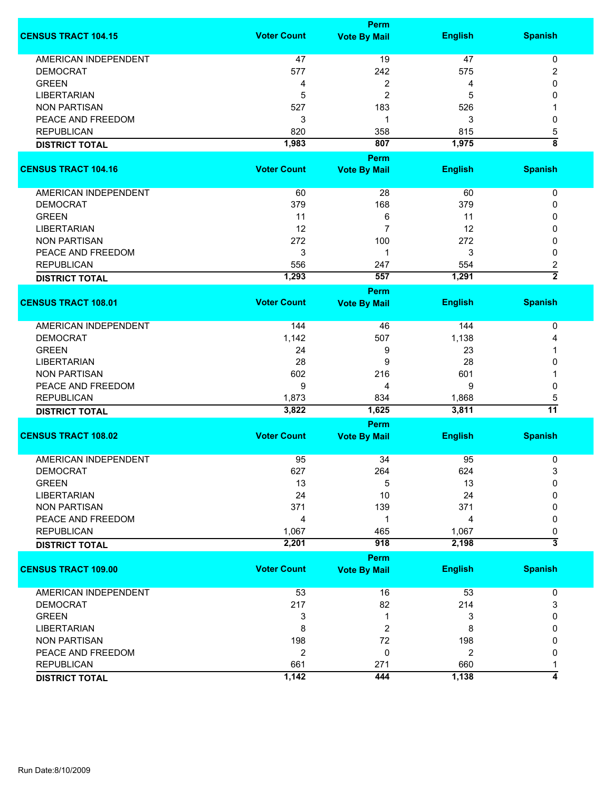|                             | <b>Perm</b>        |                     |                |                         |  |
|-----------------------------|--------------------|---------------------|----------------|-------------------------|--|
| <b>CENSUS TRACT 104.15</b>  | <b>Voter Count</b> | <b>Vote By Mail</b> | <b>English</b> | <b>Spanish</b>          |  |
| <b>AMERICAN INDEPENDENT</b> | 47                 | 19                  | 47             | $\pmb{0}$               |  |
| <b>DEMOCRAT</b>             | 577                | 242                 | 575            | 2                       |  |
| <b>GREEN</b>                | 4                  | 2                   | 4              | 0                       |  |
| <b>LIBERTARIAN</b>          | 5                  | $\overline{c}$      | 5              | 0                       |  |
|                             |                    |                     |                |                         |  |
| <b>NON PARTISAN</b>         | 527                | 183                 | 526            |                         |  |
| PEACE AND FREEDOM           | 3                  | 1                   | 3              | 0                       |  |
| <b>REPUBLICAN</b>           | 820                | 358                 | 815            | 5                       |  |
| <b>DISTRICT TOTAL</b>       | 1,983              | 807                 | 1,975          | $\overline{\bf 8}$      |  |
|                             |                    | Perm                |                |                         |  |
| <b>CENSUS TRACT 104.16</b>  | <b>Voter Count</b> | <b>Vote By Mail</b> | <b>English</b> | <b>Spanish</b>          |  |
| AMERICAN INDEPENDENT        | 60                 | 28                  | 60             | 0                       |  |
| <b>DEMOCRAT</b>             | 379                | 168                 | 379            | 0                       |  |
| <b>GREEN</b>                | 11                 | 6                   | 11             | 0                       |  |
| <b>LIBERTARIAN</b>          | 12                 | $\overline{7}$      | 12             | 0                       |  |
| <b>NON PARTISAN</b>         | 272                | 100                 | 272            | 0                       |  |
| PEACE AND FREEDOM           | 3                  | 1                   | 3              | 0                       |  |
| <b>REPUBLICAN</b>           | 556                | 247                 | 554            | 2                       |  |
|                             |                    | 557                 | 1,291          | $\overline{2}$          |  |
| <b>DISTRICT TOTAL</b>       | 1,293              |                     |                |                         |  |
|                             | <b>Voter Count</b> | <b>Perm</b>         |                |                         |  |
| <b>CENSUS TRACT 108.01</b>  |                    | <b>Vote By Mail</b> | <b>English</b> | <b>Spanish</b>          |  |
| <b>AMERICAN INDEPENDENT</b> | 144                | 46                  | 144            | 0                       |  |
| <b>DEMOCRAT</b>             | 1,142              | 507                 | 1,138          | 4                       |  |
| <b>GREEN</b>                | 24                 | 9                   | 23             | 1                       |  |
| <b>LIBERTARIAN</b>          | 28                 | 9                   | 28             | 0                       |  |
| <b>NON PARTISAN</b>         | 602                | 216                 | 601            | 1                       |  |
| PEACE AND FREEDOM           | 9                  | 4                   | 9              | 0                       |  |
| <b>REPUBLICAN</b>           | 1,873              | 834                 | 1,868          | 5                       |  |
| <b>DISTRICT TOTAL</b>       | 3,822              | 1,625               | 3,811          | $\overline{11}$         |  |
|                             |                    | Perm                |                |                         |  |
| <b>CENSUS TRACT 108.02</b>  | <b>Voter Count</b> | <b>Vote By Mail</b> | <b>English</b> | <b>Spanish</b>          |  |
|                             |                    |                     |                |                         |  |
| <b>AMERICAN INDEPENDENT</b> | 95                 | 34                  | 95             | 0                       |  |
| <b>DEMOCRAT</b>             | 627                | 264                 | 624            | 3                       |  |
| <b>GREEN</b>                | 13                 | 5                   | 13             | 0                       |  |
| <b>LIBERTARIAN</b>          | 24                 | 10                  | 24             | 0                       |  |
| <b>NON PARTISAN</b>         | 371                | 139                 | 371            | 0                       |  |
| PEACE AND FREEDOM           | 4                  | 1                   | 4              | 0                       |  |
| <b>REPUBLICAN</b>           | 1,067              | 465                 | 1,067          | 0                       |  |
| <b>DISTRICT TOTAL</b>       | 2,201              | 918                 | 2,198          | $\overline{\mathbf{3}}$ |  |
|                             |                    | <b>Perm</b>         |                |                         |  |
| <b>CENSUS TRACT 109.00</b>  | <b>Voter Count</b> | <b>Vote By Mail</b> | <b>English</b> | <b>Spanish</b>          |  |
| <b>AMERICAN INDEPENDENT</b> | 53                 | 16                  | 53             | 0                       |  |
| <b>DEMOCRAT</b>             | 217                | 82                  | 214            | 3                       |  |
| <b>GREEN</b>                | 3                  | 1                   | 3              | 0                       |  |
| <b>LIBERTARIAN</b>          | 8                  | 2                   | 8              | 0                       |  |
| <b>NON PARTISAN</b>         | 198                | 72                  | 198            | 0                       |  |
| PEACE AND FREEDOM           | $\overline{2}$     | 0                   | $\overline{2}$ | 0                       |  |
| <b>REPUBLICAN</b>           | 661                | 271                 | 660            | 1                       |  |
| <b>DISTRICT TOTAL</b>       | 1,142              | 444                 | 1,138          | 4                       |  |
|                             |                    |                     |                |                         |  |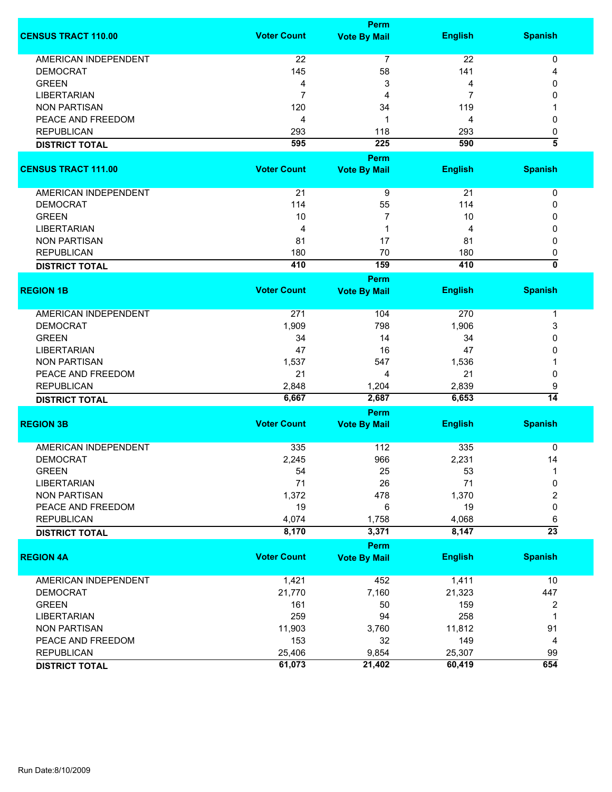|                             | Perm               |                     |                |                           |  |
|-----------------------------|--------------------|---------------------|----------------|---------------------------|--|
| <b>CENSUS TRACT 110.00</b>  | <b>Voter Count</b> | <b>Vote By Mail</b> | <b>English</b> | <b>Spanish</b>            |  |
| AMERICAN INDEPENDENT        | 22                 | $\overline{7}$      | 22             | 0                         |  |
| <b>DEMOCRAT</b>             | 145                | 58                  | 141            | 4                         |  |
| <b>GREEN</b>                | 4                  | 3                   | 4              | 0                         |  |
| <b>LIBERTARIAN</b>          | 7                  | 4                   | $\overline{7}$ | 0                         |  |
|                             |                    |                     |                |                           |  |
| <b>NON PARTISAN</b>         | 120                | 34                  | 119            |                           |  |
| PEACE AND FREEDOM           | 4                  | 1                   | 4              | 0                         |  |
| <b>REPUBLICAN</b>           | 293                | 118                 | 293            | 0                         |  |
| <b>DISTRICT TOTAL</b>       | 595                | $\overline{225}$    | 590            | $\overline{\bf{5}}$       |  |
|                             |                    | Perm                |                |                           |  |
| <b>CENSUS TRACT 111.00</b>  | <b>Voter Count</b> | <b>Vote By Mail</b> | <b>English</b> | <b>Spanish</b>            |  |
| AMERICAN INDEPENDENT        | 21                 | 9                   | 21             | $\pmb{0}$                 |  |
| <b>DEMOCRAT</b>             | 114                | 55                  | 114            | 0                         |  |
| <b>GREEN</b>                | 10                 | 7                   | 10             | 0                         |  |
| <b>LIBERTARIAN</b>          | 4                  | 1                   | 4              | 0                         |  |
|                             |                    |                     |                |                           |  |
| <b>NON PARTISAN</b>         | 81                 | 17                  | 81             | 0                         |  |
| <b>REPUBLICAN</b>           | 180                | 70                  | 180            | 0                         |  |
| <b>DISTRICT TOTAL</b>       | 410                | 159                 | 410            | $\overline{\mathfrak{o}}$ |  |
|                             |                    | Perm                |                |                           |  |
| <b>REGION 1B</b>            | <b>Voter Count</b> | <b>Vote By Mail</b> | <b>English</b> | <b>Spanish</b>            |  |
| <b>AMERICAN INDEPENDENT</b> | 271                | 104                 | 270            | 1                         |  |
| <b>DEMOCRAT</b>             | 1,909              | 798                 | 1,906          | 3                         |  |
| <b>GREEN</b>                | 34                 | 14                  | 34             | 0                         |  |
| <b>LIBERTARIAN</b>          | 47                 | 16                  | 47             | 0                         |  |
| <b>NON PARTISAN</b>         | 1,537              | 547                 | 1,536          |                           |  |
| PEACE AND FREEDOM           | 21                 | 4                   | 21             | 0                         |  |
|                             |                    |                     |                |                           |  |
| <b>REPUBLICAN</b>           | 2,848              | 1,204               | 2,839          | 9                         |  |
| <b>DISTRICT TOTAL</b>       | 6,667              | 2,687               | 6,653          | $\overline{14}$           |  |
|                             |                    | Perm                |                |                           |  |
| <b>REGION 3B</b>            | <b>Voter Count</b> | <b>Vote By Mail</b> | <b>English</b> | <b>Spanish</b>            |  |
| <b>AMERICAN INDEPENDENT</b> | 335                | 112                 | 335            | 0                         |  |
| <b>DEMOCRAT</b>             | 2,245              | 966                 | 2,231          | 14                        |  |
| <b>GREEN</b>                | 54                 | 25                  | 53             | 1                         |  |
| <b>LIBERTARIAN</b>          | 71                 | 26                  | 71             | 0                         |  |
| <b>NON PARTISAN</b>         | 1,372              | 478                 | 1,370          | 2                         |  |
| PEACE AND FREEDOM           | 19                 | 6                   | 19             | 0                         |  |
|                             |                    |                     |                |                           |  |
| <b>REPUBLICAN</b>           | 4,074<br>8,170     | 1,758<br>3,371      | 4,068<br>8,147 | 6<br>$\overline{23}$      |  |
| <b>DISTRICT TOTAL</b>       |                    |                     |                |                           |  |
|                             |                    | Perm                |                |                           |  |
| <b>REGION 4A</b>            | <b>Voter Count</b> | <b>Vote By Mail</b> | <b>English</b> | <b>Spanish</b>            |  |
| <b>AMERICAN INDEPENDENT</b> | 1,421              | 452                 | 1,411          | 10                        |  |
| <b>DEMOCRAT</b>             | 21,770             | 7,160               | 21,323         | 447                       |  |
| <b>GREEN</b>                | 161                | 50                  | 159            | 2                         |  |
| <b>LIBERTARIAN</b>          | 259                | 94                  | 258            | 1                         |  |
| <b>NON PARTISAN</b>         | 11,903             | 3,760               | 11,812         | 91                        |  |
| PEACE AND FREEDOM           | 153                | 32                  | 149            | 4                         |  |
|                             |                    |                     |                |                           |  |
| <b>REPUBLICAN</b>           | 25,406             | 9,854               | 25,307         | 99                        |  |
| <b>DISTRICT TOTAL</b>       | 61,073             | 21,402              | 60,419         | 654                       |  |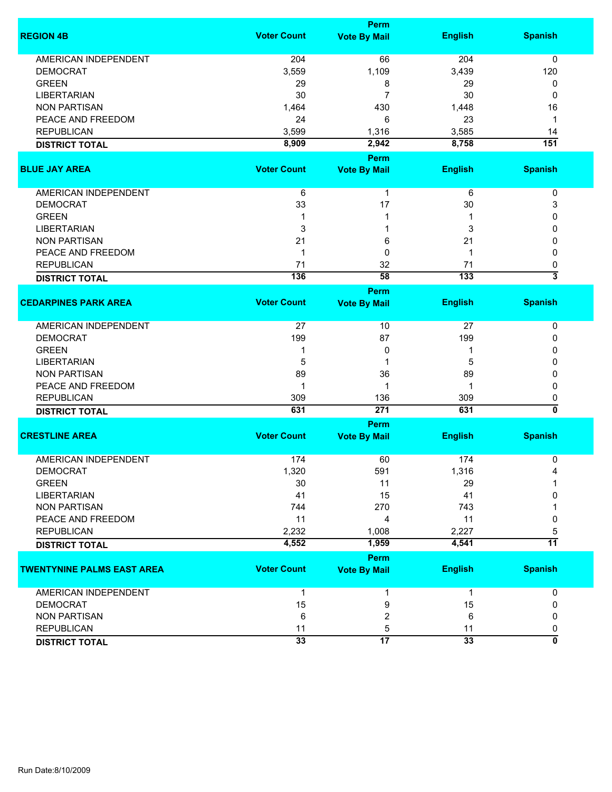|                                   | <b>Perm</b>        |                     |                 |                           |  |
|-----------------------------------|--------------------|---------------------|-----------------|---------------------------|--|
| <b>REGION 4B</b>                  | <b>Voter Count</b> | <b>Vote By Mail</b> | <b>English</b>  | <b>Spanish</b>            |  |
| AMERICAN INDEPENDENT              | 204                | 66                  | 204             | 0                         |  |
| <b>DEMOCRAT</b>                   | 3,559              | 1,109               | 3,439           | 120                       |  |
| <b>GREEN</b>                      | 29                 | 8                   | 29              | 0                         |  |
| <b>LIBERTARIAN</b>                | 30                 | $\overline{7}$      | 30              | 0                         |  |
| <b>NON PARTISAN</b>               | 1,464              | 430                 | 1,448           | 16                        |  |
| PEACE AND FREEDOM                 | 24                 | 6                   | 23              | $\mathbf 1$               |  |
| <b>REPUBLICAN</b>                 | 3,599              | 1,316               | 3,585           | 14                        |  |
| <b>DISTRICT TOTAL</b>             | 8,909              | 2,942               | 8,758           | 151                       |  |
|                                   |                    | Perm                |                 |                           |  |
| <b>BLUE JAY AREA</b>              | <b>Voter Count</b> | <b>Vote By Mail</b> | <b>English</b>  | <b>Spanish</b>            |  |
|                                   |                    |                     |                 |                           |  |
| AMERICAN INDEPENDENT              | 6                  | 1                   | 6               | 0                         |  |
| <b>DEMOCRAT</b>                   | 33                 | 17                  | 30              | 3                         |  |
| <b>GREEN</b>                      | 1                  | 1                   |                 | 0                         |  |
| <b>LIBERTARIAN</b>                | 3                  | 1                   | 3               | 0                         |  |
| <b>NON PARTISAN</b>               | 21                 | 6                   | 21              | 0                         |  |
| PEACE AND FREEDOM                 | 1                  | 0                   | 1               | 0                         |  |
| <b>REPUBLICAN</b>                 | 71                 | 32                  | 71              | 0                         |  |
| <b>DISTRICT TOTAL</b>             | 136                | 58                  | 133             | $\overline{\overline{3}}$ |  |
|                                   |                    | <b>Perm</b>         |                 |                           |  |
| <b>CEDARPINES PARK AREA</b>       | <b>Voter Count</b> | <b>Vote By Mail</b> | <b>English</b>  | <b>Spanish</b>            |  |
| <b>AMERICAN INDEPENDENT</b>       | 27                 | 10                  | 27              | 0                         |  |
| <b>DEMOCRAT</b>                   | 199                | 87                  | 199             | 0                         |  |
| <b>GREEN</b>                      | 1                  | 0                   | 1               | 0                         |  |
| <b>LIBERTARIAN</b>                | 5                  | 1                   | 5               | 0                         |  |
| <b>NON PARTISAN</b>               | 89                 | 36                  | 89              | 0                         |  |
| PEACE AND FREEDOM                 | 1                  | 1                   | 1               | 0                         |  |
| <b>REPUBLICAN</b>                 | 309                | 136                 | 309             | 0                         |  |
| <b>DISTRICT TOTAL</b>             | 631                | 271                 | 631             | 0                         |  |
|                                   |                    | Perm                |                 |                           |  |
| <b>CRESTLINE AREA</b>             | <b>Voter Count</b> | <b>Vote By Mail</b> | <b>English</b>  | <b>Spanish</b>            |  |
| <b>AMERICAN INDEPENDENT</b>       | 174                | 60                  | 174             | 0                         |  |
| <b>DEMOCRAT</b>                   | 1,320              | 591                 | 1,316           | 4                         |  |
| <b>GREEN</b>                      | 30                 | 11                  | 29              |                           |  |
| <b>LIBERTARIAN</b>                | 41                 | 15                  | 41              | 0                         |  |
| <b>NON PARTISAN</b>               | 744                | 270                 | 743             |                           |  |
| PEACE AND FREEDOM                 | 11                 | 4                   | 11              | 0                         |  |
| <b>REPUBLICAN</b>                 | 2,232              | 1,008               | 2,227           | 5                         |  |
| <b>DISTRICT TOTAL</b>             | 4,552              | 1,959               | 4,541           | $\overline{11}$           |  |
|                                   |                    | <b>Perm</b>         |                 |                           |  |
| <b>TWENTYNINE PALMS EAST AREA</b> | <b>Voter Count</b> | <b>Vote By Mail</b> | <b>English</b>  | <b>Spanish</b>            |  |
| <b>AMERICAN INDEPENDENT</b>       | $\mathbf 1$        | 1                   | $\mathbf{1}$    | 0                         |  |
| <b>DEMOCRAT</b>                   | 15                 | 9                   | 15              | 0                         |  |
| <b>NON PARTISAN</b>               | 6                  | $\overline{2}$      | 6               | 0                         |  |
| <b>REPUBLICAN</b>                 | 11                 | 5                   | 11              | 0                         |  |
| <b>DISTRICT TOTAL</b>             | $\overline{33}$    | $\overline{17}$     | $\overline{33}$ | 0                         |  |
|                                   |                    |                     |                 |                           |  |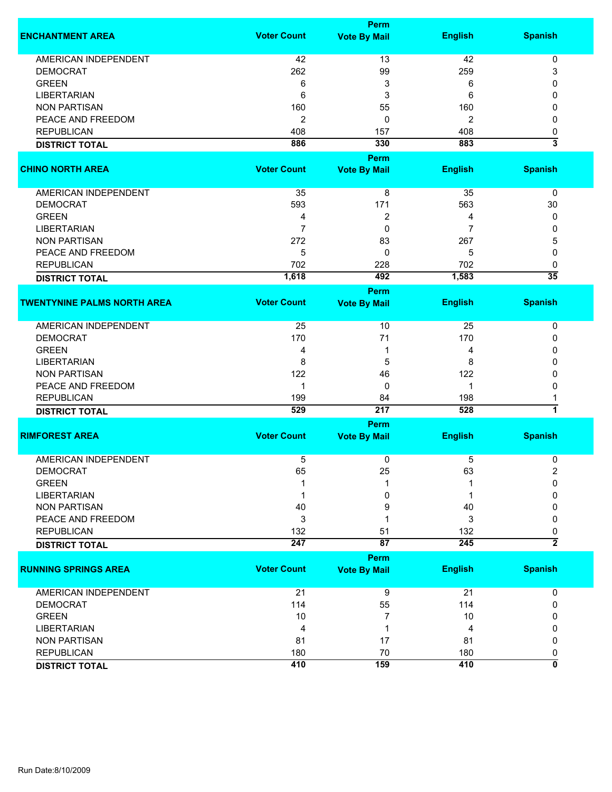| <b>Perm</b>        |                                                                                                                                                                                                                                                                                                                                                          |                                                                                                                                                                                                                                                                                                                                                    |                                                                                                                                                                                                                                                                                                |  |
|--------------------|----------------------------------------------------------------------------------------------------------------------------------------------------------------------------------------------------------------------------------------------------------------------------------------------------------------------------------------------------------|----------------------------------------------------------------------------------------------------------------------------------------------------------------------------------------------------------------------------------------------------------------------------------------------------------------------------------------------------|------------------------------------------------------------------------------------------------------------------------------------------------------------------------------------------------------------------------------------------------------------------------------------------------|--|
| <b>Voter Count</b> | <b>Vote By Mail</b>                                                                                                                                                                                                                                                                                                                                      | <b>English</b>                                                                                                                                                                                                                                                                                                                                     | <b>Spanish</b>                                                                                                                                                                                                                                                                                 |  |
|                    |                                                                                                                                                                                                                                                                                                                                                          |                                                                                                                                                                                                                                                                                                                                                    | 0                                                                                                                                                                                                                                                                                              |  |
|                    |                                                                                                                                                                                                                                                                                                                                                          |                                                                                                                                                                                                                                                                                                                                                    | 3                                                                                                                                                                                                                                                                                              |  |
|                    |                                                                                                                                                                                                                                                                                                                                                          |                                                                                                                                                                                                                                                                                                                                                    | 0                                                                                                                                                                                                                                                                                              |  |
|                    |                                                                                                                                                                                                                                                                                                                                                          |                                                                                                                                                                                                                                                                                                                                                    | 0                                                                                                                                                                                                                                                                                              |  |
|                    |                                                                                                                                                                                                                                                                                                                                                          |                                                                                                                                                                                                                                                                                                                                                    |                                                                                                                                                                                                                                                                                                |  |
|                    |                                                                                                                                                                                                                                                                                                                                                          |                                                                                                                                                                                                                                                                                                                                                    | 0                                                                                                                                                                                                                                                                                              |  |
|                    |                                                                                                                                                                                                                                                                                                                                                          |                                                                                                                                                                                                                                                                                                                                                    | 0                                                                                                                                                                                                                                                                                              |  |
|                    |                                                                                                                                                                                                                                                                                                                                                          |                                                                                                                                                                                                                                                                                                                                                    | 0                                                                                                                                                                                                                                                                                              |  |
|                    |                                                                                                                                                                                                                                                                                                                                                          |                                                                                                                                                                                                                                                                                                                                                    | 3                                                                                                                                                                                                                                                                                              |  |
|                    | <b>Perm</b>                                                                                                                                                                                                                                                                                                                                              |                                                                                                                                                                                                                                                                                                                                                    |                                                                                                                                                                                                                                                                                                |  |
|                    |                                                                                                                                                                                                                                                                                                                                                          |                                                                                                                                                                                                                                                                                                                                                    | <b>Spanish</b>                                                                                                                                                                                                                                                                                 |  |
|                    |                                                                                                                                                                                                                                                                                                                                                          |                                                                                                                                                                                                                                                                                                                                                    | 0                                                                                                                                                                                                                                                                                              |  |
|                    |                                                                                                                                                                                                                                                                                                                                                          |                                                                                                                                                                                                                                                                                                                                                    | 30                                                                                                                                                                                                                                                                                             |  |
|                    |                                                                                                                                                                                                                                                                                                                                                          |                                                                                                                                                                                                                                                                                                                                                    | 0                                                                                                                                                                                                                                                                                              |  |
|                    |                                                                                                                                                                                                                                                                                                                                                          |                                                                                                                                                                                                                                                                                                                                                    |                                                                                                                                                                                                                                                                                                |  |
|                    |                                                                                                                                                                                                                                                                                                                                                          |                                                                                                                                                                                                                                                                                                                                                    | 0                                                                                                                                                                                                                                                                                              |  |
|                    |                                                                                                                                                                                                                                                                                                                                                          |                                                                                                                                                                                                                                                                                                                                                    | 5                                                                                                                                                                                                                                                                                              |  |
|                    |                                                                                                                                                                                                                                                                                                                                                          |                                                                                                                                                                                                                                                                                                                                                    | 0                                                                                                                                                                                                                                                                                              |  |
|                    |                                                                                                                                                                                                                                                                                                                                                          |                                                                                                                                                                                                                                                                                                                                                    | 0                                                                                                                                                                                                                                                                                              |  |
|                    |                                                                                                                                                                                                                                                                                                                                                          |                                                                                                                                                                                                                                                                                                                                                    | $\overline{35}$                                                                                                                                                                                                                                                                                |  |
|                    | <b>Perm</b>                                                                                                                                                                                                                                                                                                                                              |                                                                                                                                                                                                                                                                                                                                                    |                                                                                                                                                                                                                                                                                                |  |
|                    |                                                                                                                                                                                                                                                                                                                                                          |                                                                                                                                                                                                                                                                                                                                                    | <b>Spanish</b>                                                                                                                                                                                                                                                                                 |  |
| 25                 | 10                                                                                                                                                                                                                                                                                                                                                       | 25                                                                                                                                                                                                                                                                                                                                                 | 0                                                                                                                                                                                                                                                                                              |  |
|                    |                                                                                                                                                                                                                                                                                                                                                          |                                                                                                                                                                                                                                                                                                                                                    | 0                                                                                                                                                                                                                                                                                              |  |
|                    |                                                                                                                                                                                                                                                                                                                                                          |                                                                                                                                                                                                                                                                                                                                                    | 0                                                                                                                                                                                                                                                                                              |  |
|                    |                                                                                                                                                                                                                                                                                                                                                          |                                                                                                                                                                                                                                                                                                                                                    | 0                                                                                                                                                                                                                                                                                              |  |
|                    |                                                                                                                                                                                                                                                                                                                                                          |                                                                                                                                                                                                                                                                                                                                                    | 0                                                                                                                                                                                                                                                                                              |  |
|                    |                                                                                                                                                                                                                                                                                                                                                          |                                                                                                                                                                                                                                                                                                                                                    |                                                                                                                                                                                                                                                                                                |  |
|                    |                                                                                                                                                                                                                                                                                                                                                          |                                                                                                                                                                                                                                                                                                                                                    | 0                                                                                                                                                                                                                                                                                              |  |
|                    |                                                                                                                                                                                                                                                                                                                                                          |                                                                                                                                                                                                                                                                                                                                                    |                                                                                                                                                                                                                                                                                                |  |
|                    |                                                                                                                                                                                                                                                                                                                                                          |                                                                                                                                                                                                                                                                                                                                                    | $\overline{\mathbf{1}}$                                                                                                                                                                                                                                                                        |  |
|                    |                                                                                                                                                                                                                                                                                                                                                          |                                                                                                                                                                                                                                                                                                                                                    |                                                                                                                                                                                                                                                                                                |  |
|                    |                                                                                                                                                                                                                                                                                                                                                          |                                                                                                                                                                                                                                                                                                                                                    | <b>Spanish</b>                                                                                                                                                                                                                                                                                 |  |
|                    | 0                                                                                                                                                                                                                                                                                                                                                        | 5                                                                                                                                                                                                                                                                                                                                                  | 0                                                                                                                                                                                                                                                                                              |  |
|                    |                                                                                                                                                                                                                                                                                                                                                          |                                                                                                                                                                                                                                                                                                                                                    | 2                                                                                                                                                                                                                                                                                              |  |
|                    |                                                                                                                                                                                                                                                                                                                                                          |                                                                                                                                                                                                                                                                                                                                                    | $\Omega$                                                                                                                                                                                                                                                                                       |  |
|                    |                                                                                                                                                                                                                                                                                                                                                          |                                                                                                                                                                                                                                                                                                                                                    | 0                                                                                                                                                                                                                                                                                              |  |
|                    |                                                                                                                                                                                                                                                                                                                                                          |                                                                                                                                                                                                                                                                                                                                                    | 0                                                                                                                                                                                                                                                                                              |  |
|                    |                                                                                                                                                                                                                                                                                                                                                          |                                                                                                                                                                                                                                                                                                                                                    |                                                                                                                                                                                                                                                                                                |  |
|                    |                                                                                                                                                                                                                                                                                                                                                          |                                                                                                                                                                                                                                                                                                                                                    | 0                                                                                                                                                                                                                                                                                              |  |
|                    |                                                                                                                                                                                                                                                                                                                                                          |                                                                                                                                                                                                                                                                                                                                                    | 0                                                                                                                                                                                                                                                                                              |  |
|                    |                                                                                                                                                                                                                                                                                                                                                          |                                                                                                                                                                                                                                                                                                                                                    | $\overline{2}$                                                                                                                                                                                                                                                                                 |  |
|                    |                                                                                                                                                                                                                                                                                                                                                          |                                                                                                                                                                                                                                                                                                                                                    |                                                                                                                                                                                                                                                                                                |  |
|                    |                                                                                                                                                                                                                                                                                                                                                          |                                                                                                                                                                                                                                                                                                                                                    | <b>Spanish</b>                                                                                                                                                                                                                                                                                 |  |
|                    |                                                                                                                                                                                                                                                                                                                                                          |                                                                                                                                                                                                                                                                                                                                                    | 0                                                                                                                                                                                                                                                                                              |  |
|                    |                                                                                                                                                                                                                                                                                                                                                          |                                                                                                                                                                                                                                                                                                                                                    | 0                                                                                                                                                                                                                                                                                              |  |
|                    |                                                                                                                                                                                                                                                                                                                                                          |                                                                                                                                                                                                                                                                                                                                                    | 0                                                                                                                                                                                                                                                                                              |  |
|                    |                                                                                                                                                                                                                                                                                                                                                          |                                                                                                                                                                                                                                                                                                                                                    | 0                                                                                                                                                                                                                                                                                              |  |
|                    |                                                                                                                                                                                                                                                                                                                                                          |                                                                                                                                                                                                                                                                                                                                                    |                                                                                                                                                                                                                                                                                                |  |
|                    |                                                                                                                                                                                                                                                                                                                                                          |                                                                                                                                                                                                                                                                                                                                                    | 0                                                                                                                                                                                                                                                                                              |  |
|                    |                                                                                                                                                                                                                                                                                                                                                          |                                                                                                                                                                                                                                                                                                                                                    | 0                                                                                                                                                                                                                                                                                              |  |
|                    |                                                                                                                                                                                                                                                                                                                                                          |                                                                                                                                                                                                                                                                                                                                                    | 0                                                                                                                                                                                                                                                                                              |  |
|                    | 42<br>262<br>6<br>6<br>160<br>$\overline{2}$<br>408<br>886<br><b>Voter Count</b><br>35<br>593<br>4<br>$\overline{7}$<br>272<br>5<br>702<br>1,618<br><b>Voter Count</b><br>170<br>4<br>8<br>122<br>$\mathbf{1}$<br>199<br>529<br><b>Voter Count</b><br>5<br>65<br>40<br>3<br>132<br>247<br><b>Voter Count</b><br>21<br>114<br>10<br>4<br>81<br>180<br>410 | 13<br>99<br>3<br>3<br>55<br>0<br>157<br>330<br><b>Vote By Mail</b><br>8<br>171<br>2<br>0<br>83<br>0<br>228<br>492<br><b>Vote By Mail</b><br>71<br>1<br>5<br>46<br>0<br>84<br>217<br><b>Perm</b><br><b>Vote By Mail</b><br>25<br>0<br>9<br>1<br>51<br>$\overline{87}$<br><b>Perm</b><br><b>Vote By Mail</b><br>9<br>55<br>7<br>1<br>17<br>70<br>159 | 42<br>259<br>6<br>6<br>160<br>2<br>408<br>883<br><b>English</b><br>35<br>563<br>4<br>7<br>267<br>5<br>702<br>1,583<br><b>English</b><br>170<br>4<br>8<br>122<br>1<br>198<br>528<br><b>English</b><br>63<br>40<br>3<br>132<br>245<br><b>English</b><br>21<br>114<br>10<br>4<br>81<br>180<br>410 |  |